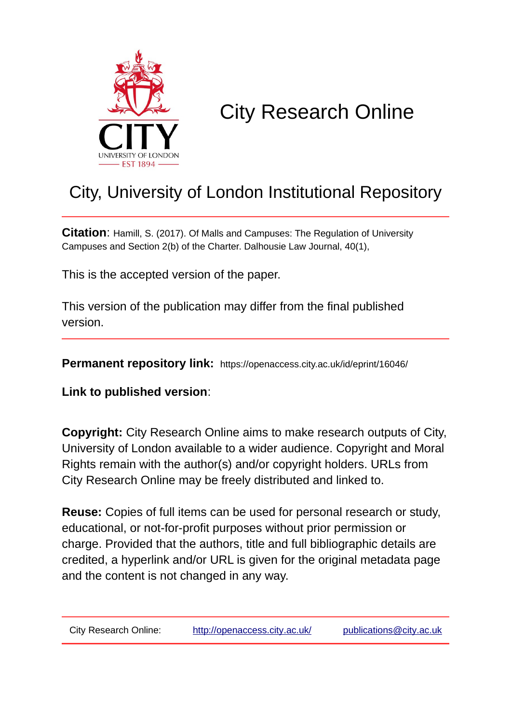

# City Research Online

## City, University of London Institutional Repository

**Citation**: Hamill, S. (2017). Of Malls and Campuses: The Regulation of University Campuses and Section 2(b) of the Charter. Dalhousie Law Journal, 40(1),

This is the accepted version of the paper.

This version of the publication may differ from the final published version.

**Permanent repository link:** https://openaccess.city.ac.uk/id/eprint/16046/

**Link to published version**:

**Copyright:** City Research Online aims to make research outputs of City, University of London available to a wider audience. Copyright and Moral Rights remain with the author(s) and/or copyright holders. URLs from City Research Online may be freely distributed and linked to.

**Reuse:** Copies of full items can be used for personal research or study, educational, or not-for-profit purposes without prior permission or charge. Provided that the authors, title and full bibliographic details are credited, a hyperlink and/or URL is given for the original metadata page and the content is not changed in any way.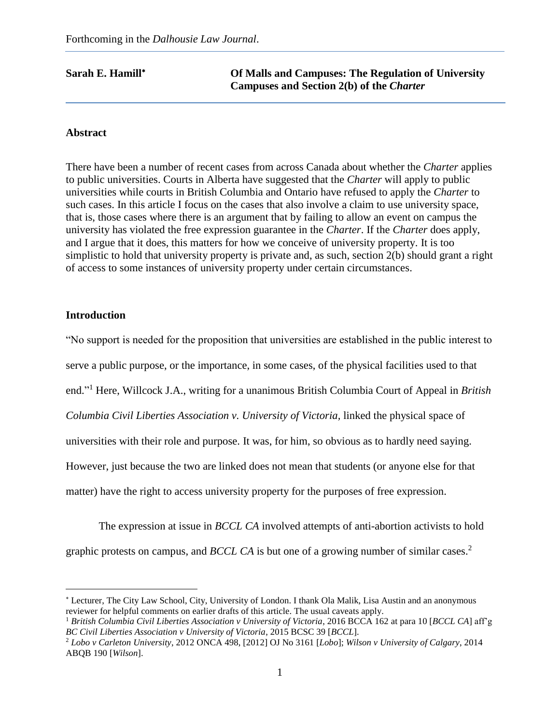**Sarah E. Hamill<sup>\*</sup> Compuses: The Regulation of University Campuses and Section 2(b) of the** *Charter*

#### **Abstract**

There have been a number of recent cases from across Canada about whether the *Charter* applies to public universities. Courts in Alberta have suggested that the *Charter* will apply to public universities while courts in British Columbia and Ontario have refused to apply the *Charter* to such cases. In this article I focus on the cases that also involve a claim to use university space, that is, those cases where there is an argument that by failing to allow an event on campus the university has violated the free expression guarantee in the *Charter*. If the *Charter* does apply, and I argue that it does, this matters for how we conceive of university property. It is too simplistic to hold that university property is private and, as such, section 2(b) should grant a right of access to some instances of university property under certain circumstances.

#### **Introduction**

 $\overline{a}$ 

"No support is needed for the proposition that universities are established in the public interest to serve a public purpose, or the importance, in some cases, of the physical facilities used to that end." <sup>1</sup> Here, Willcock J.A., writing for a unanimous British Columbia Court of Appeal in *British Columbia Civil Liberties Association v. University of Victoria,* linked the physical space of universities with their role and purpose. It was, for him, so obvious as to hardly need saying. However, just because the two are linked does not mean that students (or anyone else for that matter) have the right to access university property for the purposes of free expression.

The expression at issue in *BCCL CA* involved attempts of anti-abortion activists to hold graphic protests on campus, and *BCCL CA* is but one of a growing number of similar cases. 2

 Lecturer, The City Law School, City, University of London. I thank Ola Malik, Lisa Austin and an anonymous reviewer for helpful comments on earlier drafts of this article. The usual caveats apply.

<sup>1</sup> *British Columbia Civil Liberties Association v University of Victoria*, 2016 BCCA 162 at para 10 [*BCCL CA*] aff'g *BC Civil Liberties Association v University of Victoria*, 2015 BCSC 39 [*BCCL*].

<sup>2</sup> *Lobo v Carleton University*, 2012 ONCA 498, [2012] OJ No 3161 [*Lobo*]; *Wilson v University of Calgary*, 2014 ABQB 190 [*Wilson*].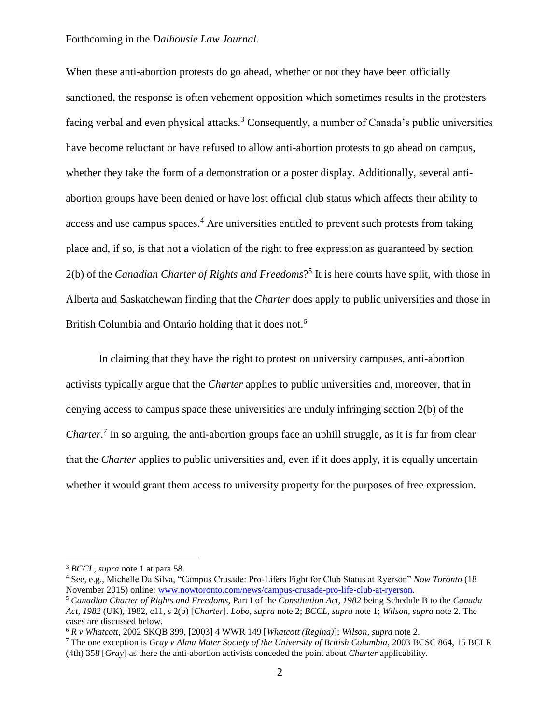When these anti-abortion protests do go ahead, whether or not they have been officially sanctioned, the response is often vehement opposition which sometimes results in the protesters facing verbal and even physical attacks.<sup>3</sup> Consequently, a number of Canada's public universities have become reluctant or have refused to allow anti-abortion protests to go ahead on campus, whether they take the form of a demonstration or a poster display. Additionally, several antiabortion groups have been denied or have lost official club status which affects their ability to access and use campus spaces.<sup>4</sup> Are universities entitled to prevent such protests from taking place and, if so, is that not a violation of the right to free expression as guaranteed by section 2(b) of the *Canadian Charter of Rights and Freedoms*? 5 It is here courts have split, with those in Alberta and Saskatchewan finding that the *Charter* does apply to public universities and those in British Columbia and Ontario holding that it does not.<sup>6</sup>

In claiming that they have the right to protest on university campuses, anti-abortion activists typically argue that the *Charter* applies to public universities and, moreover, that in denying access to campus space these universities are unduly infringing section 2(b) of the Charter.<sup>7</sup> In so arguing, the anti-abortion groups face an uphill struggle, as it is far from clear that the *Charter* applies to public universities and, even if it does apply, it is equally uncertain whether it would grant them access to university property for the purposes of free expression.

<sup>3</sup> *BCCL, supra* note 1 at para 58.

<sup>4</sup> See, e.g., Michelle Da Silva, "Campus Crusade: Pro-Lifers Fight for Club Status at Ryerson" *Now Toronto* (18 November 2015) online: [www.nowtoronto.com/news/campus-crusade-pro-life-club-at-ryerson.](http://www.nowtoronto.com/news/campus-crusade-pro-life-club-at-ryerson)

<sup>5</sup> *Canadian Charter of Rights and Freedoms,* Part I of the *Constitution Act, 1982* being Schedule B to the *Canada Act, 1982* (UK), 1982, c11, s 2(b) [*Charter*]. *Lobo, supra* note 2; *BCCL, supra* note 1; *Wilson, supra* note 2. The cases are discussed below.

<sup>6</sup> *R v Whatcott*, 2002 SKQB 399, [2003] 4 WWR 149 [*Whatcott (Regina)*]; *Wilson, supra* note 2.

<sup>7</sup> The one exception is *Gray v Alma Mater Society of the University of British Columbia*, 2003 BCSC 864, 15 BCLR (4th) 358 [*Gray*] as there the anti-abortion activists conceded the point about *Charter* applicability.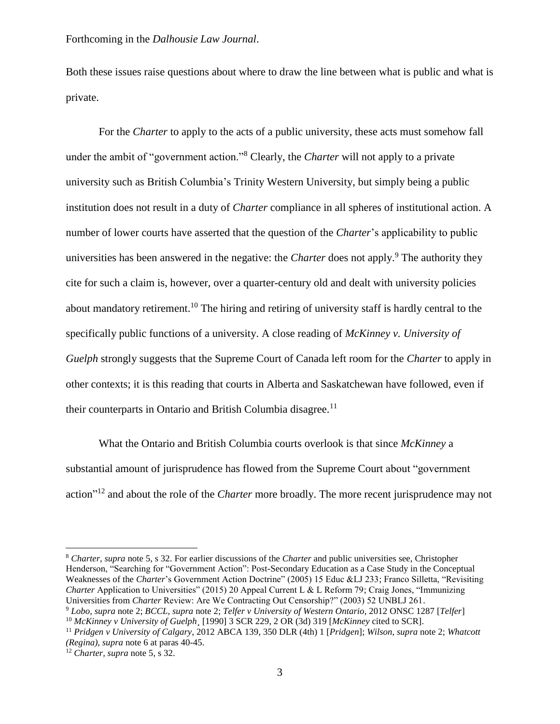Both these issues raise questions about where to draw the line between what is public and what is private.

For the *Charter* to apply to the acts of a public university, these acts must somehow fall under the ambit of "government action."<sup>8</sup> Clearly, the *Charter* will not apply to a private university such as British Columbia's Trinity Western University, but simply being a public institution does not result in a duty of *Charter* compliance in all spheres of institutional action. A number of lower courts have asserted that the question of the *Charter*'s applicability to public universities has been answered in the negative: the *Charter* does not apply.<sup>9</sup> The authority they cite for such a claim is, however, over a quarter-century old and dealt with university policies about mandatory retirement.<sup>10</sup> The hiring and retiring of university staff is hardly central to the specifically public functions of a university. A close reading of *McKinney v. University of Guelph* strongly suggests that the Supreme Court of Canada left room for the *Charter* to apply in other contexts; it is this reading that courts in Alberta and Saskatchewan have followed, even if their counterparts in Ontario and British Columbia disagree.<sup>11</sup>

What the Ontario and British Columbia courts overlook is that since *McKinney* a substantial amount of jurisprudence has flowed from the Supreme Court about "government action<sup>"12</sup> and about the role of the *Charter* more broadly. The more recent jurisprudence may not

<sup>8</sup> *Charter, supra* note 5, s 32. For earlier discussions of the *Charter* and public universities see, Christopher Henderson, "Searching for "Government Action": Post-Secondary Education as a Case Study in the Conceptual Weaknesses of the *Charter*'s Government Action Doctrine" (2005) 15 Educ &LJ 233; Franco Silletta, "Revisiting *Charter* Application to Universities" (2015) 20 Appeal Current L & L Reform 79; Craig Jones, "Immunizing Universities from *Charter* Review: Are We Contracting Out Censorship?" (2003) 52 UNBLJ 261.

<sup>9</sup> *Lobo, supra* note 2; *BCCL, supra* note 2; *Telfer v University of Western Ontario*, 2012 ONSC 1287 [*Telfer*]

<sup>10</sup> *McKinney v University of Guelph¸* [1990] 3 SCR 229, 2 OR (3d) 319 [*McKinney* cited to SCR].

<sup>11</sup> *Pridgen v University of Calgary*, 2012 ABCA 139, 350 DLR (4th) 1 [*Pridgen*]; *Wilson*, *supra* note 2; *Whatcott (Regina), supra* note 6 at paras 40-45.

<sup>12</sup> *Charter, supra* note 5, s 32.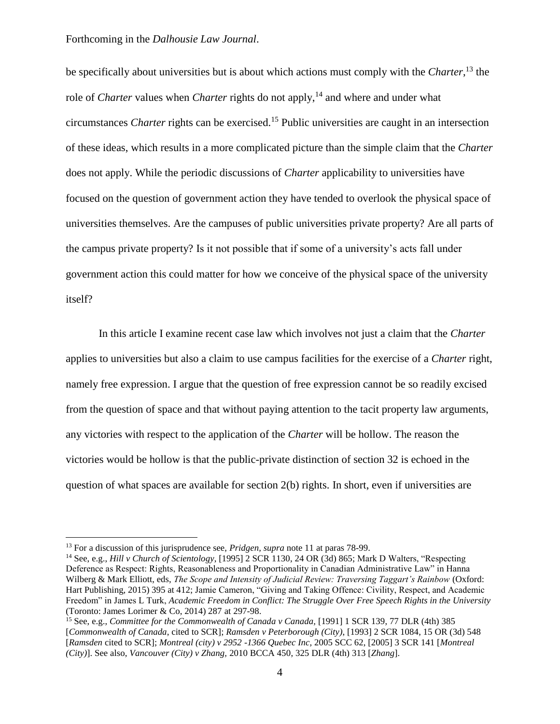be specifically about universities but is about which actions must comply with the *Charter*, <sup>13</sup> the role of *Charter* values when *Charter* rights do not apply,<sup>14</sup> and where and under what circumstances *Charter* rights can be exercised.<sup>15</sup> Public universities are caught in an intersection of these ideas, which results in a more complicated picture than the simple claim that the *Charter* does not apply. While the periodic discussions of *Charter* applicability to universities have focused on the question of government action they have tended to overlook the physical space of universities themselves. Are the campuses of public universities private property? Are all parts of the campus private property? Is it not possible that if some of a university's acts fall under government action this could matter for how we conceive of the physical space of the university itself?

In this article I examine recent case law which involves not just a claim that the *Charter* applies to universities but also a claim to use campus facilities for the exercise of a *Charter* right, namely free expression. I argue that the question of free expression cannot be so readily excised from the question of space and that without paying attention to the tacit property law arguments, any victories with respect to the application of the *Charter* will be hollow. The reason the victories would be hollow is that the public-private distinction of section 32 is echoed in the question of what spaces are available for section  $2(b)$  rights. In short, even if universities are

<sup>13</sup> For a discussion of this jurisprudence see, *Pridgen, supra* note 11 at paras 78-99.

<sup>14</sup> See, e.g., *Hill v Church of Scientology*, [1995] 2 SCR 1130, 24 OR (3d) 865; Mark D Walters, "Respecting Deference as Respect: Rights, Reasonableness and Proportionality in Canadian Administrative Law" in Hanna Wilberg & Mark Elliott, eds, *The Scope and Intensity of Judicial Review: Traversing Taggart's Rainbow* (Oxford: Hart Publishing, 2015) 395 at 412; Jamie Cameron, "Giving and Taking Offence: Civility, Respect, and Academic Freedom" in James L Turk, *Academic Freedom in Conflict: The Struggle Over Free Speech Rights in the University* (Toronto: James Lorimer & Co, 2014) 287 at 297-98.

<sup>15</sup> See, e.g., *Committee for the Commonwealth of Canada v Canada,* [1991] 1 SCR 139, 77 DLR (4th) 385 [*Commonwealth of Canada*, cited to SCR]; *Ramsden v Peterborough (City)*, [1993] 2 SCR 1084, 15 OR (3d) 548 [*Ramsden* cited to SCR]; *Montreal (city) v 2952 -1366 Quebec Inc,* 2005 SCC 62, [2005] 3 SCR 141 [*Montreal (City)*]. See also, *Vancouver (City) v Zhang,* 2010 BCCA 450, 325 DLR (4th) 313 [*Zhang*].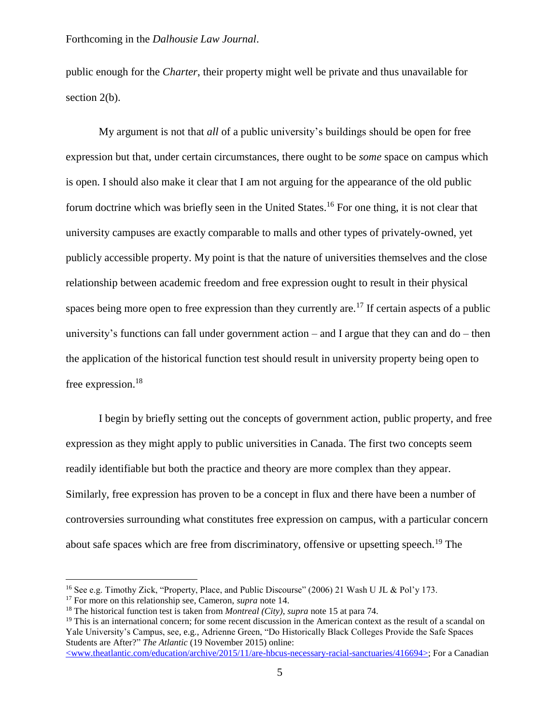public enough for the *Charter*, their property might well be private and thus unavailable for section 2(b).

My argument is not that *all* of a public university's buildings should be open for free expression but that, under certain circumstances, there ought to be *some* space on campus which is open. I should also make it clear that I am not arguing for the appearance of the old public forum doctrine which was briefly seen in the United States.<sup>16</sup> For one thing, it is not clear that university campuses are exactly comparable to malls and other types of privately-owned, yet publicly accessible property. My point is that the nature of universities themselves and the close relationship between academic freedom and free expression ought to result in their physical spaces being more open to free expression than they currently are.<sup>17</sup> If certain aspects of a public university's functions can fall under government action – and I argue that they can and do – then the application of the historical function test should result in university property being open to free expression.<sup>18</sup>

I begin by briefly setting out the concepts of government action, public property, and free expression as they might apply to public universities in Canada. The first two concepts seem readily identifiable but both the practice and theory are more complex than they appear. Similarly, free expression has proven to be a concept in flux and there have been a number of controversies surrounding what constitutes free expression on campus, with a particular concern about safe spaces which are free from discriminatory, offensive or upsetting speech.<sup>19</sup> The

<sup>&</sup>lt;sup>16</sup> See e.g. Timothy Zick, "Property, Place, and Public Discourse" (2006) 21 Wash U JL & Pol'y 173.

<sup>17</sup> For more on this relationship see, Cameron, *supra* note 14.

<sup>18</sup> The historical function test is taken from *Montreal (City)*, *supra* note 15 at para 74.

 $19$  This is an international concern; for some recent discussion in the American context as the result of a scandal on Yale University's Campus, see, e.g., Adrienne Green, "Do Historically Black Colleges Provide the Safe Spaces Students are After?" *The Atlantic* (19 November 2015) online:

<sup>&</sup>lt;www.theatlantic.com/education/archive/2015/11/are-hbcus-necessary-racial-sanctuaries/416694>; For a Canadian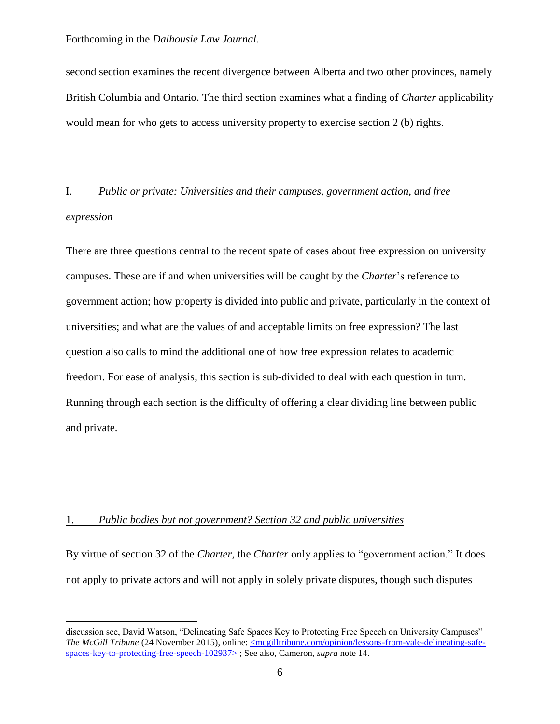second section examines the recent divergence between Alberta and two other provinces, namely British Columbia and Ontario. The third section examines what a finding of *Charter* applicability would mean for who gets to access university property to exercise section 2 (b) rights.

### I. *Public or private: Universities and their campuses, government action, and free expression*

There are three questions central to the recent spate of cases about free expression on university campuses. These are if and when universities will be caught by the *Charter*'s reference to government action; how property is divided into public and private, particularly in the context of universities; and what are the values of and acceptable limits on free expression? The last question also calls to mind the additional one of how free expression relates to academic freedom. For ease of analysis, this section is sub-divided to deal with each question in turn. Running through each section is the difficulty of offering a clear dividing line between public and private.

#### 1. *Public bodies but not government? Section 32 and public universities*

 $\overline{a}$ 

By virtue of section 32 of the *Charter*, the *Charter* only applies to "government action." It does not apply to private actors and will not apply in solely private disputes, though such disputes

discussion see, David Watson, "Delineating Safe Spaces Key to Protecting Free Speech on University Campuses" *The McGill Tribune* (24 November 2015), online: <u><mcgilltribune.com/opinion/lessons-from-yale-delineating-safe-</u> [spaces-key-to-protecting-free-speech-102937>](http://mcgilltribune.com/opinion/lessons-from-yale-delineating-safe-spaces-key-to-protecting-free-speech-102937/) ; See also, Cameron, *supra* note 14.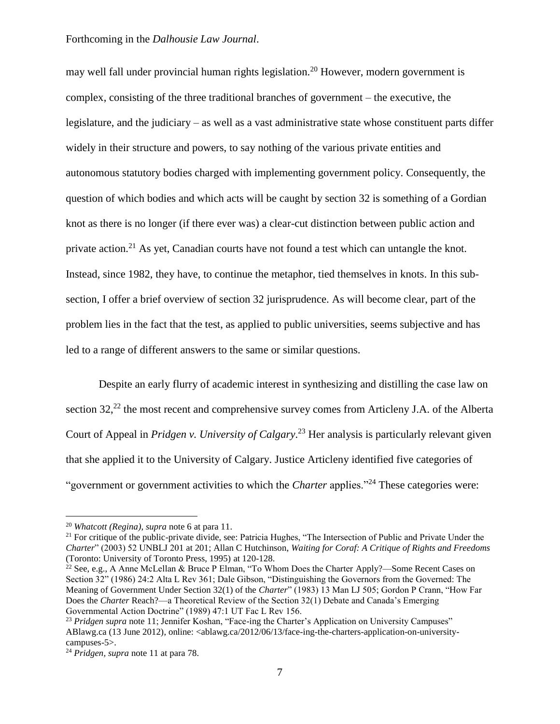may well fall under provincial human rights legislation.<sup>20</sup> However, modern government is complex, consisting of the three traditional branches of government – the executive, the legislature, and the judiciary – as well as a vast administrative state whose constituent parts differ widely in their structure and powers, to say nothing of the various private entities and autonomous statutory bodies charged with implementing government policy. Consequently, the question of which bodies and which acts will be caught by section 32 is something of a Gordian knot as there is no longer (if there ever was) a clear-cut distinction between public action and private action.<sup>21</sup> As yet, Canadian courts have not found a test which can untangle the knot. Instead, since 1982, they have, to continue the metaphor, tied themselves in knots. In this subsection, I offer a brief overview of section 32 jurisprudence. As will become clear, part of the problem lies in the fact that the test, as applied to public universities, seems subjective and has led to a range of different answers to the same or similar questions.

Despite an early flurry of academic interest in synthesizing and distilling the case law on section  $32<sup>22</sup>$  the most recent and comprehensive survey comes from Articleny J.A. of the Alberta Court of Appeal in *Pridgen v. University of Calgary*. <sup>23</sup> Her analysis is particularly relevant given that she applied it to the University of Calgary. Justice Articleny identified five categories of "government or government activities to which the *Charter* applies."<sup>24</sup> These categories were:

<sup>20</sup> *Whatcott (Regina), supra* note 6 at para 11.

<sup>&</sup>lt;sup>21</sup> For critique of the public-private divide, see: Patricia Hughes, "The Intersection of Public and Private Under the *Charter*" (2003) 52 UNBLJ 201 at 201; Allan C Hutchinson, *Waiting for Coraf: A Critique of Rights and Freedoms* (Toronto: University of Toronto Press, 1995) at 120-128.

<sup>&</sup>lt;sup>22</sup> See, e.g., A Anne McLellan & Bruce P Elman, "To Whom Does the Charter Apply?—Some Recent Cases on Section 32" (1986) 24:2 Alta L Rev 361; Dale Gibson, "Distinguishing the Governors from the Governed: The Meaning of Government Under Section 32(1) of the *Charter*" (1983) 13 Man LJ 505; Gordon P Crann, "How Far Does the *Charter* Reach?—a Theoretical Review of the Section 32(1) Debate and Canada's Emerging Governmental Action Doctrine" (1989) 47:1 UT Fac L Rev 156.

<sup>&</sup>lt;sup>23</sup> Pridgen supra note 11; Jennifer Koshan, "Face-ing the Charter's Application on University Campuses" ABlawg.ca (13 June 2012), online: <ablawg.ca/2012/06/13/face-ing-the-charters-application-on-universitycampuses-5>.

<sup>24</sup> *Pridgen, supra* note 11 at para 78.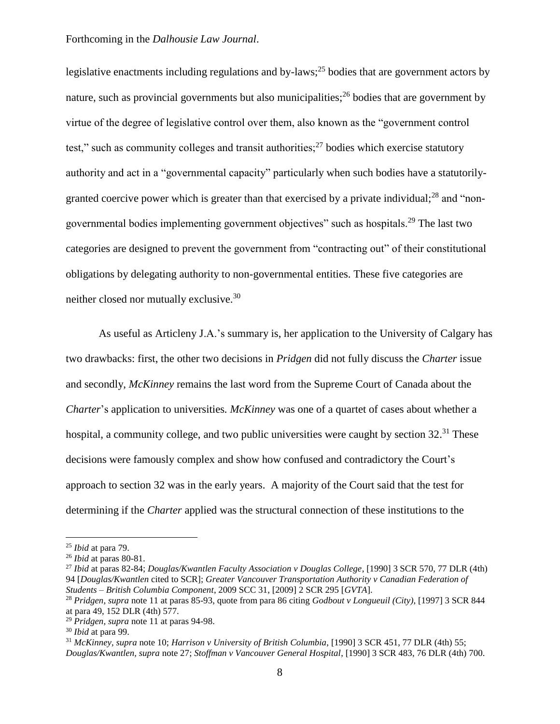legislative enactments including regulations and by-laws;<sup>25</sup> bodies that are government actors by nature, such as provincial governments but also municipalities;  $2<sup>6</sup>$  bodies that are government by virtue of the degree of legislative control over them, also known as the "government control test," such as community colleges and transit authorities; $^{27}$  bodies which exercise statutory authority and act in a "governmental capacity" particularly when such bodies have a statutorilygranted coercive power which is greater than that exercised by a private individual;<sup>28</sup> and "nongovernmental bodies implementing government objectives" such as hospitals.<sup>29</sup> The last two categories are designed to prevent the government from "contracting out" of their constitutional obligations by delegating authority to non-governmental entities. These five categories are neither closed nor mutually exclusive.<sup>30</sup>

As useful as Articleny J.A.'s summary is, her application to the University of Calgary has two drawbacks: first, the other two decisions in *Pridgen* did not fully discuss the *Charter* issue and secondly, *McKinney* remains the last word from the Supreme Court of Canada about the *Charter*'s application to universities*. McKinney* was one of a quartet of cases about whether a hospital, a community college, and two public universities were caught by section 32.<sup>31</sup> These decisions were famously complex and show how confused and contradictory the Court's approach to section 32 was in the early years. A majority of the Court said that the test for determining if the *Charter* applied was the structural connection of these institutions to the

<sup>25</sup> *Ibid* at para 79.

<sup>26</sup> *Ibid* at paras 80-81.

<sup>27</sup> *Ibid* at paras 82-84; *Douglas/Kwantlen Faculty Association v Douglas College*, [1990] 3 SCR 570, 77 DLR (4th) 94 [*Douglas/Kwantlen* cited to SCR]; *Greater Vancouver Transportation Authority v Canadian Federation of Students – British Columbia Component*, 2009 SCC 31, [2009] 2 SCR 295 [*GVTA*].

<sup>28</sup> *Pridgen, supra* note 11 at paras 85-93, quote from para 86 citing *Godbout v Longueuil (City)*, [1997] 3 SCR 844 at para 49, 152 DLR (4th) 577.

<sup>29</sup> *Pridgen, supra* note 11 at paras 94-98.

<sup>30</sup> *Ibid* at para 99.

<sup>31</sup> *McKinney, supra* note 10; *Harrison v University of British Columbia*, [1990] 3 SCR 451, 77 DLR (4th) 55; *Douglas/Kwantlen, supra* note 27; *Stoffman v Vancouver General Hospital*, [1990] 3 SCR 483, 76 DLR (4th) 700.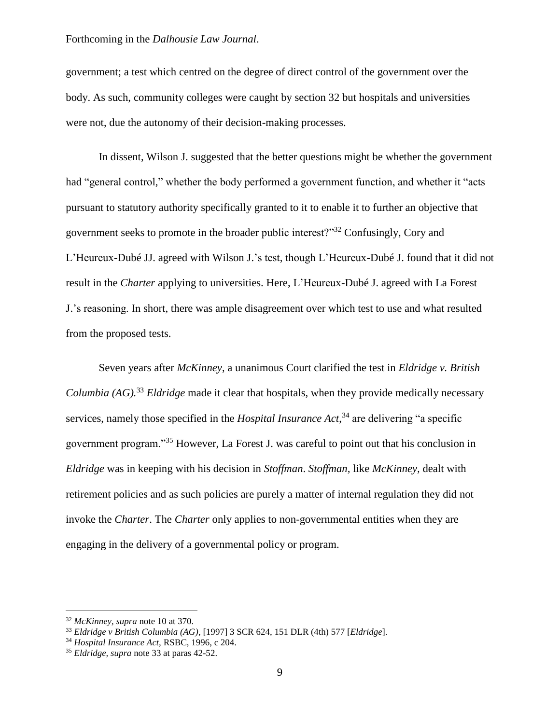government; a test which centred on the degree of direct control of the government over the body. As such, community colleges were caught by section 32 but hospitals and universities were not, due the autonomy of their decision-making processes.

In dissent, Wilson J. suggested that the better questions might be whether the government had "general control," whether the body performed a government function, and whether it "acts pursuant to statutory authority specifically granted to it to enable it to further an objective that government seeks to promote in the broader public interest?"<sup>32</sup> Confusingly, Cory and L'Heureux-Dubé JJ. agreed with Wilson J.'s test, though L'Heureux-Dubé J. found that it did not result in the *Charter* applying to universities. Here, L'Heureux-Dubé J. agreed with La Forest J.'s reasoning. In short, there was ample disagreement over which test to use and what resulted from the proposed tests.

Seven years after *McKinney*, a unanimous Court clarified the test in *Eldridge v. British Columbia (AG).*<sup>33</sup> *Eldridge* made it clear that hospitals, when they provide medically necessary services, namely those specified in the *Hospital Insurance Act*, <sup>34</sup> are delivering "a specific government program."<sup>35</sup> However, La Forest J. was careful to point out that his conclusion in *Eldridge* was in keeping with his decision in *Stoffman*. *Stoffman,* like *McKinney,* dealt with retirement policies and as such policies are purely a matter of internal regulation they did not invoke the *Charter*. The *Charter* only applies to non-governmental entities when they are engaging in the delivery of a governmental policy or program.

<sup>32</sup> *McKinney, supra* note 10 at 370.

<sup>33</sup> *Eldridge v British Columbia (AG)*, [1997] 3 SCR 624, 151 DLR (4th) 577 [*Eldridge*].

<sup>34</sup> *Hospital Insurance Act,* RSBC, 1996, c 204.

<sup>35</sup> *Eldridge, supra* note 33 at paras 42-52.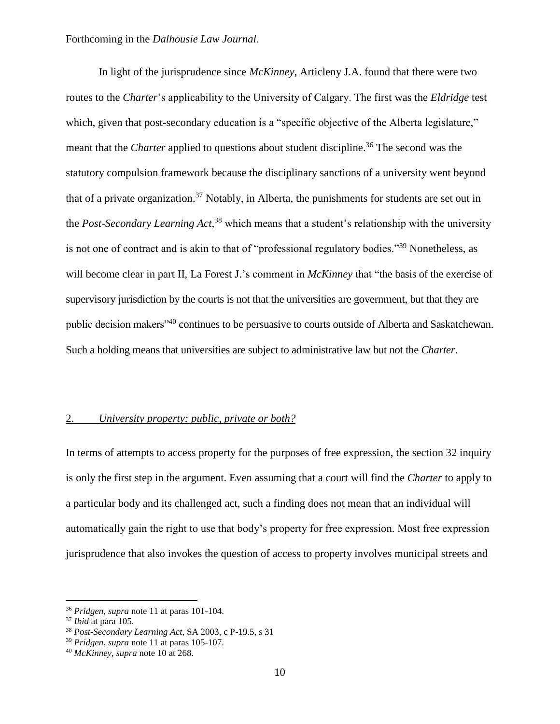In light of the jurisprudence since *McKinney*, Articleny J.A. found that there were two routes to the *Charter*'s applicability to the University of Calgary. The first was the *Eldridge* test which, given that post-secondary education is a "specific objective of the Alberta legislature," meant that the *Charter* applied to questions about student discipline.<sup>36</sup> The second was the statutory compulsion framework because the disciplinary sanctions of a university went beyond that of a private organization.<sup>37</sup> Notably, in Alberta, the punishments for students are set out in the *Post-Secondary Learning Act*, <sup>38</sup> which means that a student's relationship with the university is not one of contract and is akin to that of "professional regulatory bodies."<sup>39</sup> Nonetheless, as will become clear in part II, La Forest J.'s comment in *McKinney* that "the basis of the exercise of supervisory jurisdiction by the courts is not that the universities are government, but that they are public decision makers"<sup>40</sup> continues to be persuasive to courts outside of Alberta and Saskatchewan. Such a holding means that universities are subject to administrative law but not the *Charter*.

#### 2. *University property: public, private or both?*

In terms of attempts to access property for the purposes of free expression, the section 32 inquiry is only the first step in the argument. Even assuming that a court will find the *Charter* to apply to a particular body and its challenged act, such a finding does not mean that an individual will automatically gain the right to use that body's property for free expression. Most free expression jurisprudence that also invokes the question of access to property involves municipal streets and

<sup>36</sup> *Pridgen, supra* note 11 at paras 101-104.

<sup>37</sup> *Ibid* at para 105.

<sup>38</sup> *Post-Secondary Learning Act*, SA 2003, c P-19.5, s 31

<sup>39</sup> *Pridgen, supra* note 11 at paras 105-107.

<sup>40</sup> *McKinney, supra* note 10 at 268.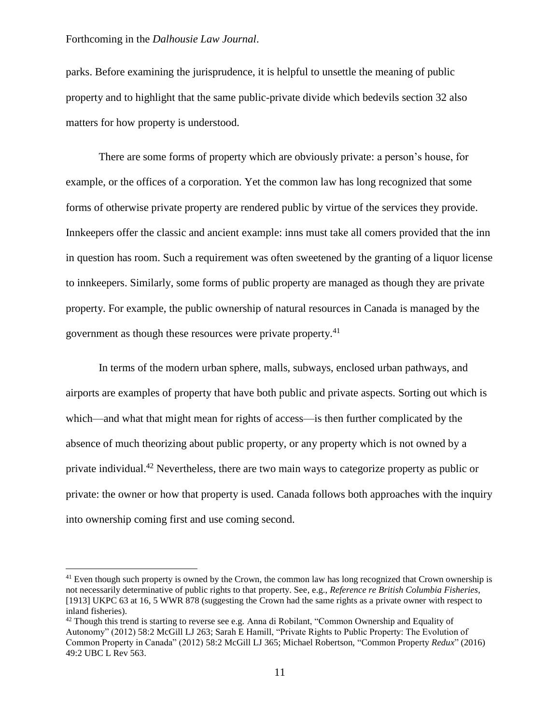$\overline{a}$ 

parks. Before examining the jurisprudence, it is helpful to unsettle the meaning of public property and to highlight that the same public-private divide which bedevils section 32 also matters for how property is understood.

There are some forms of property which are obviously private: a person's house, for example, or the offices of a corporation. Yet the common law has long recognized that some forms of otherwise private property are rendered public by virtue of the services they provide. Innkeepers offer the classic and ancient example: inns must take all comers provided that the inn in question has room. Such a requirement was often sweetened by the granting of a liquor license to innkeepers. Similarly, some forms of public property are managed as though they are private property. For example, the public ownership of natural resources in Canada is managed by the government as though these resources were private property.<sup>41</sup>

In terms of the modern urban sphere, malls, subways, enclosed urban pathways, and airports are examples of property that have both public and private aspects. Sorting out which is which—and what that might mean for rights of access—is then further complicated by the absence of much theorizing about public property, or any property which is not owned by a private individual.<sup>42</sup> Nevertheless, there are two main ways to categorize property as public or private: the owner or how that property is used. Canada follows both approaches with the inquiry into ownership coming first and use coming second.

<sup>&</sup>lt;sup>41</sup> Even though such property is owned by the Crown, the common law has long recognized that Crown ownership is not necessarily determinative of public rights to that property. See, e.g., *Reference re British Columbia Fisheries*, [1913] UKPC 63 at 16, 5 WWR 878 (suggesting the Crown had the same rights as a private owner with respect to inland fisheries).

 $42$  Though this trend is starting to reverse see e.g. Anna di Robilant, "Common Ownership and Equality of Autonomy" (2012) 58:2 McGill LJ 263; Sarah E Hamill, "Private Rights to Public Property: The Evolution of Common Property in Canada" (2012) 58:2 McGill LJ 365; Michael Robertson, "Common Property *Redux*" (2016) 49:2 UBC L Rev 563.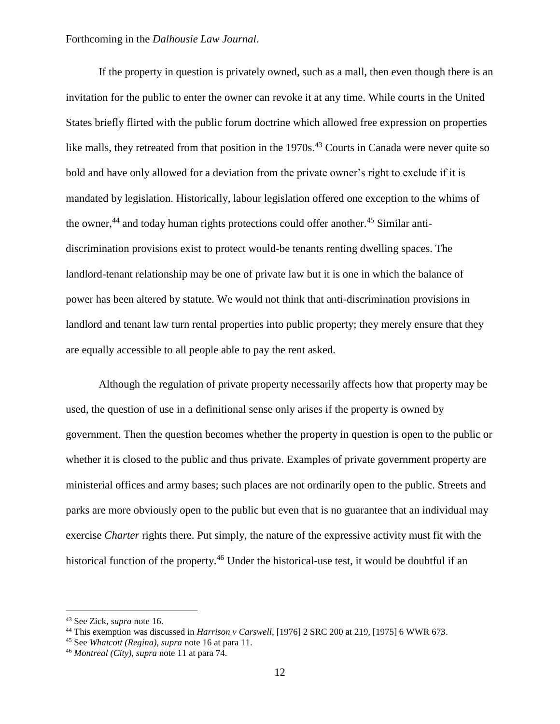If the property in question is privately owned, such as a mall, then even though there is an invitation for the public to enter the owner can revoke it at any time. While courts in the United States briefly flirted with the public forum doctrine which allowed free expression on properties like malls, they retreated from that position in the 1970s.<sup>43</sup> Courts in Canada were never quite so bold and have only allowed for a deviation from the private owner's right to exclude if it is mandated by legislation. Historically, labour legislation offered one exception to the whims of the owner, $^{44}$  and today human rights protections could offer another. $^{45}$  Similar antidiscrimination provisions exist to protect would-be tenants renting dwelling spaces. The landlord-tenant relationship may be one of private law but it is one in which the balance of power has been altered by statute. We would not think that anti-discrimination provisions in landlord and tenant law turn rental properties into public property; they merely ensure that they are equally accessible to all people able to pay the rent asked.

Although the regulation of private property necessarily affects how that property may be used, the question of use in a definitional sense only arises if the property is owned by government. Then the question becomes whether the property in question is open to the public or whether it is closed to the public and thus private. Examples of private government property are ministerial offices and army bases; such places are not ordinarily open to the public. Streets and parks are more obviously open to the public but even that is no guarantee that an individual may exercise *Charter* rights there. Put simply, the nature of the expressive activity must fit with the historical function of the property.<sup>46</sup> Under the historical-use test, it would be doubtful if an

<sup>43</sup> See Zick, *supra* note 16.

<sup>44</sup> This exemption was discussed in *Harrison v Carswell*, [1976] 2 SRC 200 at 219, [1975] 6 WWR 673.

<sup>45</sup> See *Whatcott (Regina), supra* note 16 at para 11.

<sup>46</sup> *Montreal (City), supra* note 11 at para 74.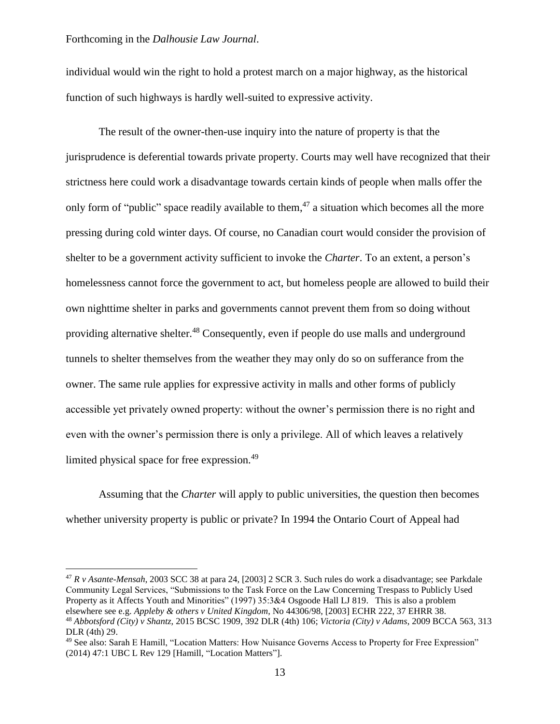$\overline{a}$ 

individual would win the right to hold a protest march on a major highway, as the historical function of such highways is hardly well-suited to expressive activity.

The result of the owner-then-use inquiry into the nature of property is that the jurisprudence is deferential towards private property. Courts may well have recognized that their strictness here could work a disadvantage towards certain kinds of people when malls offer the only form of "public" space readily available to them,<sup>47</sup> a situation which becomes all the more pressing during cold winter days. Of course, no Canadian court would consider the provision of shelter to be a government activity sufficient to invoke the *Charter*. To an extent, a person's homelessness cannot force the government to act, but homeless people are allowed to build their own nighttime shelter in parks and governments cannot prevent them from so doing without providing alternative shelter.<sup>48</sup> Consequently, even if people do use malls and underground tunnels to shelter themselves from the weather they may only do so on sufferance from the owner. The same rule applies for expressive activity in malls and other forms of publicly accessible yet privately owned property: without the owner's permission there is no right and even with the owner's permission there is only a privilege. All of which leaves a relatively limited physical space for free expression.<sup>49</sup>

Assuming that the *Charter* will apply to public universities, the question then becomes whether university property is public or private? In 1994 the Ontario Court of Appeal had

<sup>47</sup> *R v Asante-Mensah*, 2003 SCC 38 at para 24, [2003] 2 SCR 3. Such rules do work a disadvantage; see Parkdale Community Legal Services, "Submissions to the Task Force on the Law Concerning Trespass to Publicly Used Property as it Affects Youth and Minorities" (1997) 35:3&4 Osgoode Hall LJ 819. This is also a problem elsewhere see e.g. *Appleby & others v United Kingdom*, No 44306/98, [2003] ECHR 222, 37 EHRR 38. <sup>48</sup> *Abbotsford (City) v Shantz,* 2015 BCSC 1909, 392 DLR (4th) 106; *Victoria (City) v Adams*, 2009 BCCA 563, 313 DLR (4th) 29.

<sup>49</sup> See also: Sarah E Hamill, "Location Matters: How Nuisance Governs Access to Property for Free Expression" (2014) 47:1 UBC L Rev 129 [Hamill, "Location Matters"].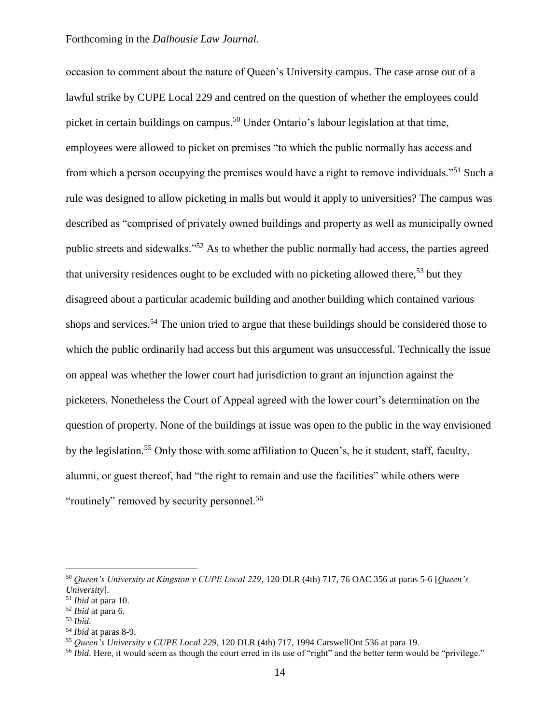occasion to comment about the nature of Queen's University campus. The case arose out of a lawful strike by CUPE Local 229 and centred on the question of whether the employees could picket in certain buildings on campus.<sup>50</sup> Under Ontario's labour legislation at that time, employees were allowed to picket on premises "to which the public normally has access and from which a person occupying the premises would have a right to remove individuals."<sup>51</sup> Such a rule was designed to allow picketing in malls but would it apply to universities? The campus was described as "comprised of privately owned buildings and property as well as municipally owned public streets and sidewalks."<sup>52</sup> As to whether the public normally had access, the parties agreed that university residences ought to be excluded with no picketing allowed there,<sup>53</sup> but they disagreed about a particular academic building and another building which contained various shops and services.<sup>54</sup> The union tried to argue that these buildings should be considered those to which the public ordinarily had access but this argument was unsuccessful. Technically the issue on appeal was whether the lower court had jurisdiction to grant an injunction against the picketers. Nonetheless the Court of Appeal agreed with the lower court's determination on the question of property. None of the buildings at issue was open to the public in the way envisioned by the legislation.<sup>55</sup> Only those with some affiliation to Queen's, be it student, staff, faculty, alumni, or guest thereof, had "the right to remain and use the facilities" while others were "routinely" removed by security personnel.<sup>56</sup>

<sup>50</sup> *Queen's University at Kingston v CUPE Local 229*, 120 DLR (4th) 717, 76 OAC 356 at paras 5-6 [*Queen's University*].

<sup>51</sup> *Ibid* at para 10.

<sup>52</sup> *Ibid* at para 6.

<sup>53</sup> *Ibid*.

<sup>54</sup> *Ibid* at paras 8-9.

<sup>55</sup> *Queen's University v CUPE Local 229*, 120 DLR (4th) 717, 1994 CarswellOnt 536 at para 19.

<sup>&</sup>lt;sup>56</sup> *Ibid*. Here, it would seem as though the court erred in its use of "right" and the better term would be "privilege."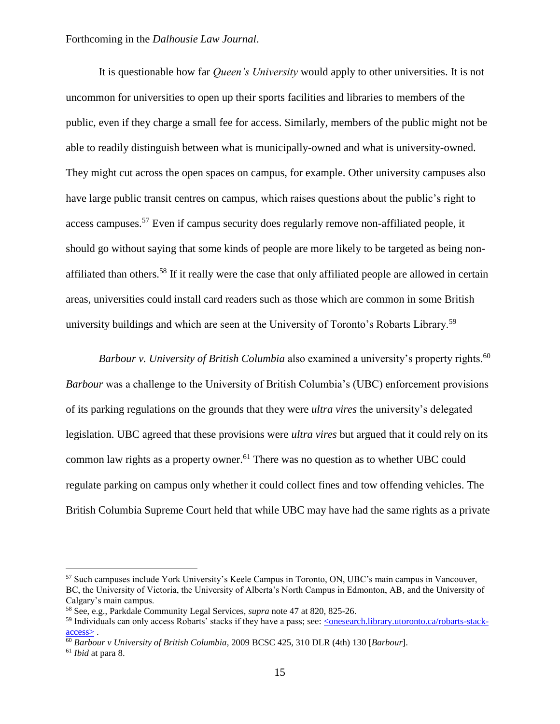It is questionable how far *Queen's University* would apply to other universities. It is not uncommon for universities to open up their sports facilities and libraries to members of the public, even if they charge a small fee for access. Similarly, members of the public might not be able to readily distinguish between what is municipally-owned and what is university-owned. They might cut across the open spaces on campus, for example. Other university campuses also have large public transit centres on campus, which raises questions about the public's right to access campuses.<sup>57</sup> Even if campus security does regularly remove non-affiliated people, it should go without saying that some kinds of people are more likely to be targeted as being nonaffiliated than others.<sup>58</sup> If it really were the case that only affiliated people are allowed in certain areas, universities could install card readers such as those which are common in some British university buildings and which are seen at the University of Toronto's Robarts Library.<sup>59</sup>

*Barbour v. University of British Columbia* also examined a university's property rights.<sup>60</sup> *Barbour* was a challenge to the University of British Columbia's (UBC) enforcement provisions of its parking regulations on the grounds that they were *ultra vires* the university's delegated legislation. UBC agreed that these provisions were *ultra vires* but argued that it could rely on its common law rights as a property owner.<sup>61</sup> There was no question as to whether UBC could regulate parking on campus only whether it could collect fines and tow offending vehicles. The British Columbia Supreme Court held that while UBC may have had the same rights as a private

<sup>57</sup> Such campuses include York University's Keele Campus in Toronto, ON, UBC's main campus in Vancouver, BC, the University of Victoria, the University of Alberta's North Campus in Edmonton, AB, and the University of Calgary's main campus.

<sup>58</sup> See, e.g., Parkdale Community Legal Services, *supra* note 47 at 820, 825-26.

<sup>59</sup> Individuals can only access Robarts' stacks if they have a pass; see: [<onesearch.library.utoronto.ca/robarts-stack](https://onesearch.library.utoronto.ca/robarts-stack-access)[access>](https://onesearch.library.utoronto.ca/robarts-stack-access) .

<sup>60</sup> *Barbour v University of British Columbia*, 2009 BCSC 425, 310 DLR (4th) 130 [*Barbour*].

<sup>61</sup> *Ibid* at para 8.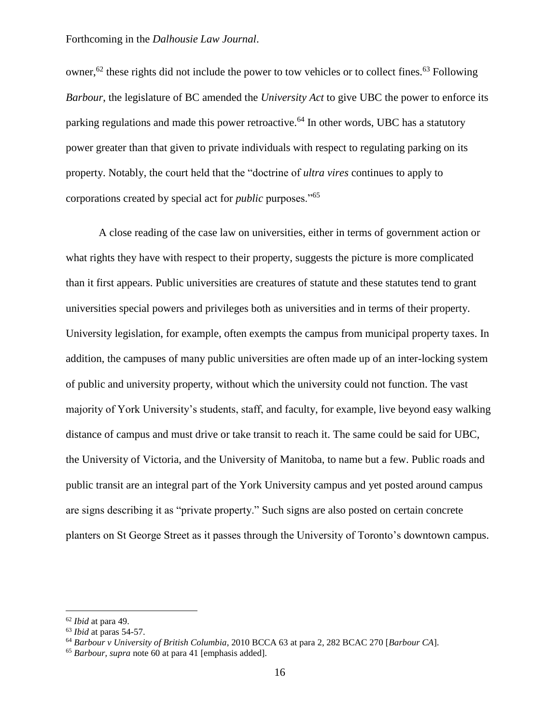owner,<sup>62</sup> these rights did not include the power to tow vehicles or to collect fines.<sup>63</sup> Following *Barbour*, the legislature of BC amended the *University Act* to give UBC the power to enforce its parking regulations and made this power retroactive.<sup>64</sup> In other words, UBC has a statutory power greater than that given to private individuals with respect to regulating parking on its property. Notably, the court held that the "doctrine of *ultra vires* continues to apply to corporations created by special act for *public* purposes."<sup>65</sup>

A close reading of the case law on universities, either in terms of government action or what rights they have with respect to their property, suggests the picture is more complicated than it first appears. Public universities are creatures of statute and these statutes tend to grant universities special powers and privileges both as universities and in terms of their property. University legislation, for example, often exempts the campus from municipal property taxes. In addition, the campuses of many public universities are often made up of an inter-locking system of public and university property, without which the university could not function. The vast majority of York University's students, staff, and faculty, for example, live beyond easy walking distance of campus and must drive or take transit to reach it. The same could be said for UBC, the University of Victoria, and the University of Manitoba, to name but a few. Public roads and public transit are an integral part of the York University campus and yet posted around campus are signs describing it as "private property." Such signs are also posted on certain concrete planters on St George Street as it passes through the University of Toronto's downtown campus.

<sup>62</sup> *Ibid* at para 49.

<sup>63</sup> *Ibid* at paras 54-57.

<sup>64</sup> *Barbour v University of British Columbia*, 2010 BCCA 63 at para 2, 282 BCAC 270 [*Barbour CA*].

<sup>65</sup> *Barbour, supra* note 60 at para 41 [emphasis added].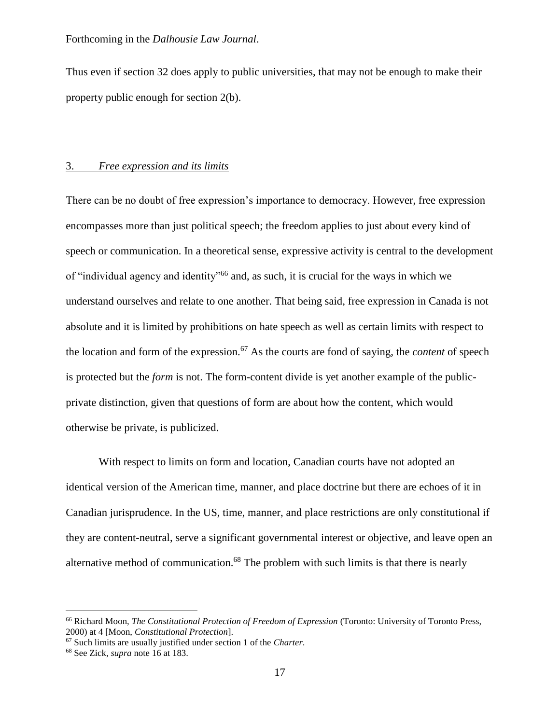Thus even if section 32 does apply to public universities, that may not be enough to make their property public enough for section 2(b).

#### 3. *Free expression and its limits*

There can be no doubt of free expression's importance to democracy. However, free expression encompasses more than just political speech; the freedom applies to just about every kind of speech or communication. In a theoretical sense, expressive activity is central to the development of "individual agency and identity"<sup>66</sup> and, as such, it is crucial for the ways in which we understand ourselves and relate to one another. That being said, free expression in Canada is not absolute and it is limited by prohibitions on hate speech as well as certain limits with respect to the location and form of the expression.<sup>67</sup> As the courts are fond of saying, the *content* of speech is protected but the *form* is not. The form-content divide is yet another example of the publicprivate distinction, given that questions of form are about how the content, which would otherwise be private, is publicized.

With respect to limits on form and location, Canadian courts have not adopted an identical version of the American time, manner, and place doctrine but there are echoes of it in Canadian jurisprudence. In the US, time, manner, and place restrictions are only constitutional if they are content-neutral, serve a significant governmental interest or objective, and leave open an alternative method of communication.<sup>68</sup> The problem with such limits is that there is nearly

<sup>66</sup> Richard Moon, *The Constitutional Protection of Freedom of Expression* (Toronto: University of Toronto Press, 2000) at 4 [Moon, *Constitutional Protection*].

<sup>67</sup> Such limits are usually justified under section 1 of the *Charter*.

<sup>68</sup> See Zick, *supra* note 16 at 183.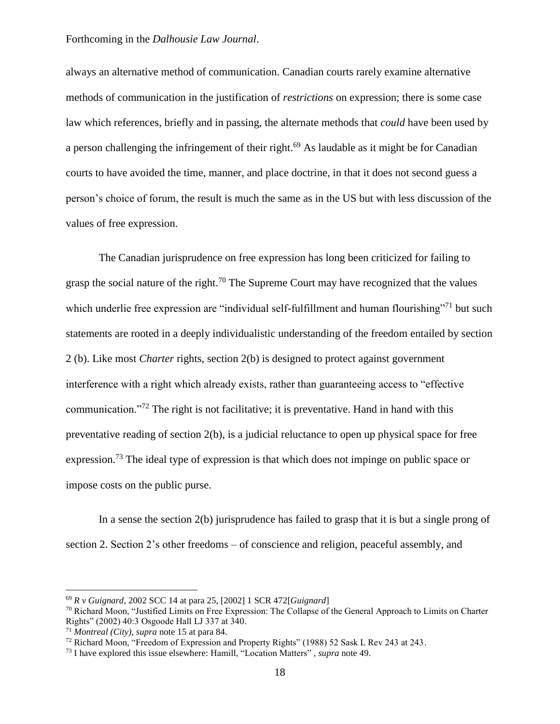always an alternative method of communication. Canadian courts rarely examine alternative methods of communication in the justification of *restrictions* on expression; there is some case law which references, briefly and in passing, the alternate methods that *could* have been used by a person challenging the infringement of their right.<sup>69</sup> As laudable as it might be for Canadian courts to have avoided the time, manner, and place doctrine, in that it does not second guess a person's choice of forum, the result is much the same as in the US but with less discussion of the values of free expression.

The Canadian jurisprudence on free expression has long been criticized for failing to grasp the social nature of the right.<sup>70</sup> The Supreme Court may have recognized that the values which underlie free expression are "individual self-fulfillment and human flourishing"<sup>71</sup> but such statements are rooted in a deeply individualistic understanding of the freedom entailed by section 2 (b). Like most *Charter* rights, section 2(b) is designed to protect against government interference with a right which already exists, rather than guaranteeing access to "effective communication."<sup>72</sup> The right is not facilitative; it is preventative. Hand in hand with this preventative reading of section 2(b), is a judicial reluctance to open up physical space for free expression.<sup>73</sup> The ideal type of expression is that which does not impinge on public space or impose costs on the public purse.

In a sense the section 2(b) jurisprudence has failed to grasp that it is but a single prong of section 2. Section 2's other freedoms – of conscience and religion, peaceful assembly, and

<sup>69</sup> *R v Guignard*, 2002 SCC 14 at para 25, [2002] 1 SCR 472[*Guignard*]

 $70$  Richard Moon, "Justified Limits on Free Expression: The Collapse of the General Approach to Limits on Charter Rights" (2002) 40:3 Osgoode Hall LJ 337 at 340.

<sup>71</sup> *Montreal (City), supra* note 15 at para 84.

<sup>72</sup> Richard Moon, "Freedom of Expression and Property Rights" (1988) 52 Sask L Rev 243 at 243.

<sup>73</sup> I have explored this issue elsewhere: Hamill, "Location Matters" , *supra* note 49.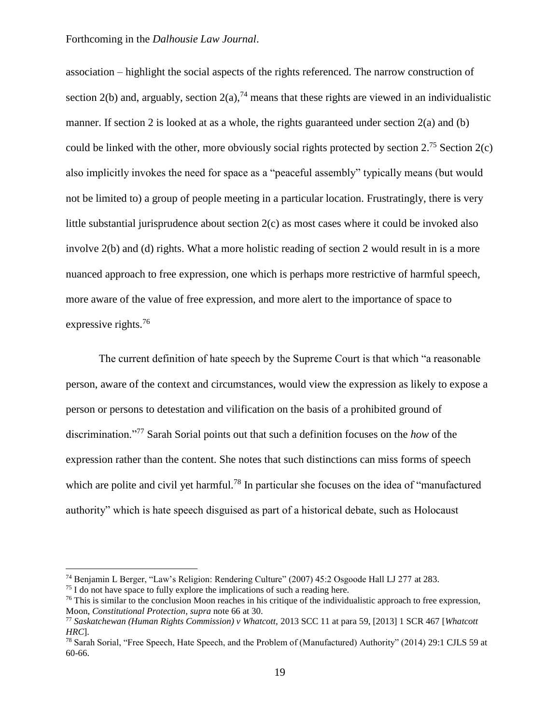association – highlight the social aspects of the rights referenced. The narrow construction of section 2(b) and, arguably, section  $2(a)$ ,<sup>74</sup> means that these rights are viewed in an individualistic manner. If section 2 is looked at as a whole, the rights guaranteed under section 2(a) and (b) could be linked with the other, more obviously social rights protected by section  $2^{75}$  Section  $2(c)$ also implicitly invokes the need for space as a "peaceful assembly" typically means (but would not be limited to) a group of people meeting in a particular location. Frustratingly, there is very little substantial jurisprudence about section 2(c) as most cases where it could be invoked also involve 2(b) and (d) rights. What a more holistic reading of section 2 would result in is a more nuanced approach to free expression, one which is perhaps more restrictive of harmful speech, more aware of the value of free expression, and more alert to the importance of space to expressive rights.<sup>76</sup>

The current definition of hate speech by the Supreme Court is that which "a reasonable person, aware of the context and circumstances, would view the expression as likely to expose a person or persons to detestation and vilification on the basis of a prohibited ground of discrimination."<sup>77</sup> Sarah Sorial points out that such a definition focuses on the *how* of the expression rather than the content. She notes that such distinctions can miss forms of speech which are polite and civil yet harmful.<sup>78</sup> In particular she focuses on the idea of "manufactured authority" which is hate speech disguised as part of a historical debate, such as Holocaust

<sup>74</sup> Benjamin L Berger, "Law's Religion: Rendering Culture" (2007) 45:2 Osgoode Hall LJ 277 at 283.

 $75$  I do not have space to fully explore the implications of such a reading here.

 $76$  This is similar to the conclusion Moon reaches in his critique of the individualistic approach to free expression, Moon, *Constitutional Protection*, *supra* note 66 at 30.

<sup>77</sup> *Saskatchewan (Human Rights Commission) v Whatcott,* 2013 SCC 11 at para 59, [2013] 1 SCR 467 [*Whatcott HRC*].

<sup>78</sup> Sarah Sorial, "Free Speech, Hate Speech, and the Problem of (Manufactured) Authority" (2014) 29:1 CJLS 59 at 60-66.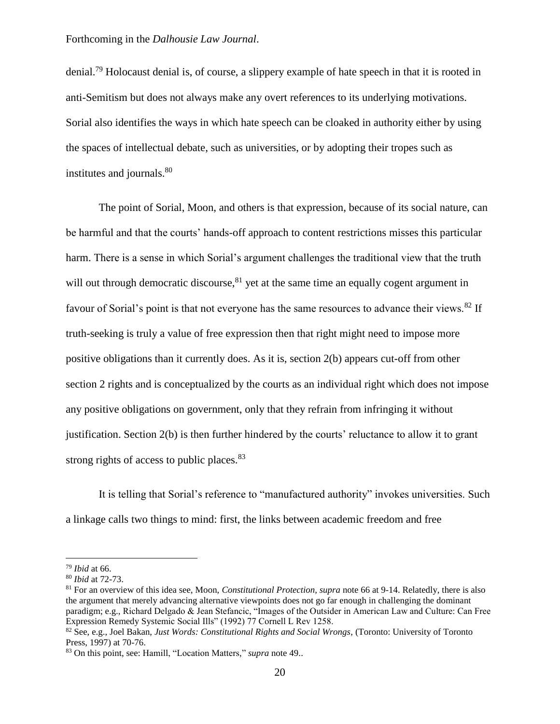denial.<sup>79</sup> Holocaust denial is, of course, a slippery example of hate speech in that it is rooted in anti-Semitism but does not always make any overt references to its underlying motivations. Sorial also identifies the ways in which hate speech can be cloaked in authority either by using the spaces of intellectual debate, such as universities, or by adopting their tropes such as institutes and journals.<sup>80</sup>

The point of Sorial, Moon, and others is that expression, because of its social nature, can be harmful and that the courts' hands-off approach to content restrictions misses this particular harm. There is a sense in which Sorial's argument challenges the traditional view that the truth will out through democratic discourse,  $81$  yet at the same time an equally cogent argument in favour of Sorial's point is that not everyone has the same resources to advance their views.<sup>82</sup> If truth-seeking is truly a value of free expression then that right might need to impose more positive obligations than it currently does. As it is, section 2(b) appears cut-off from other section 2 rights and is conceptualized by the courts as an individual right which does not impose any positive obligations on government, only that they refrain from infringing it without justification. Section 2(b) is then further hindered by the courts' reluctance to allow it to grant strong rights of access to public places.<sup>83</sup>

It is telling that Sorial's reference to "manufactured authority" invokes universities. Such a linkage calls two things to mind: first, the links between academic freedom and free

<sup>79</sup> *Ibid* at 66.

<sup>80</sup> *Ibid* at 72-73.

<sup>81</sup> For an overview of this idea see, Moon, *Constitutional Protection, supra* note 66 at 9-14. Relatedly, there is also the argument that merely advancing alternative viewpoints does not go far enough in challenging the dominant paradigm; e.g., Richard Delgado & Jean Stefancic, "Images of the Outsider in American Law and Culture: Can Free Expression Remedy Systemic Social Ills" (1992) 77 Cornell L Rev 1258.

<sup>82</sup> See, e.g., Joel Bakan, *Just Words: Constitutional Rights and Social Wrongs*, (Toronto: University of Toronto Press, 1997) at 70-76.

<sup>83</sup> On this point, see: Hamill, "Location Matters," *supra* note 49..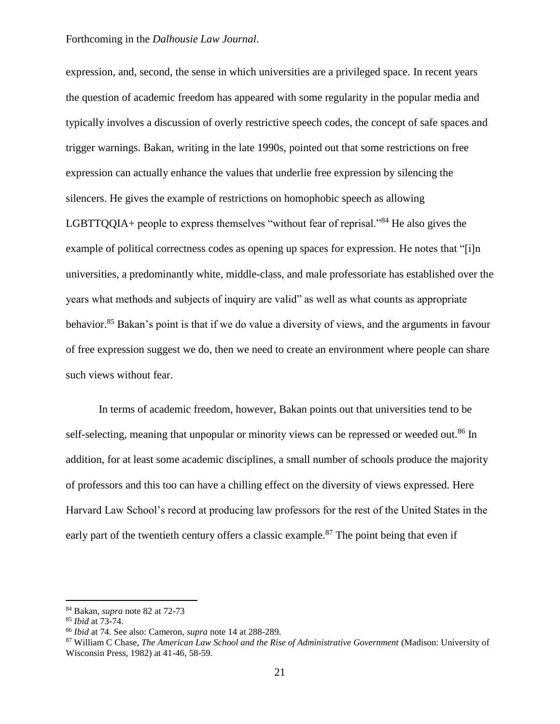expression, and, second, the sense in which universities are a privileged space. In recent years the question of academic freedom has appeared with some regularity in the popular media and typically involves a discussion of overly restrictive speech codes, the concept of safe spaces and trigger warnings. Bakan, writing in the late 1990s, pointed out that some restrictions on free expression can actually enhance the values that underlie free expression by silencing the silencers. He gives the example of restrictions on homophobic speech as allowing LGBTTQQIA+ people to express themselves "without fear of reprisal."<sup>84</sup> He also gives the example of political correctness codes as opening up spaces for expression. He notes that "[i]n universities, a predominantly white, middle-class, and male professoriate has established over the years what methods and subjects of inquiry are valid" as well as what counts as appropriate behavior.<sup>85</sup> Bakan's point is that if we do value a diversity of views, and the arguments in favour of free expression suggest we do, then we need to create an environment where people can share such views without fear.

In terms of academic freedom, however, Bakan points out that universities tend to be self-selecting, meaning that unpopular or minority views can be repressed or weeded out.<sup>86</sup> In addition, for at least some academic disciplines, a small number of schools produce the majority of professors and this too can have a chilling effect on the diversity of views expressed. Here Harvard Law School's record at producing law professors for the rest of the United States in the early part of the twentieth century offers a classic example.<sup>87</sup> The point being that even if

<sup>84</sup> Bakan, *supra* note 82 at 72-73

<sup>85</sup> *Ibid* at 73-74.

<sup>86</sup> *Ibid* at 74. See also: Cameron, *supra* note 14 at 288-289.

<sup>87</sup> William C Chase, *The American Law School and the Rise of Administrative Government* (Madison: University of Wisconsin Press, 1982) at 41-46, 58-59.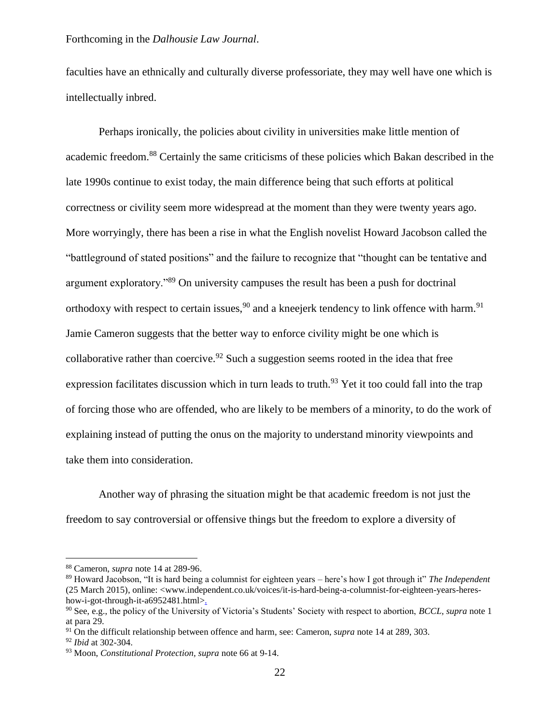faculties have an ethnically and culturally diverse professoriate, they may well have one which is intellectually inbred.

Perhaps ironically, the policies about civility in universities make little mention of academic freedom.<sup>88</sup> Certainly the same criticisms of these policies which Bakan described in the late 1990s continue to exist today, the main difference being that such efforts at political correctness or civility seem more widespread at the moment than they were twenty years ago. More worryingly, there has been a rise in what the English novelist Howard Jacobson called the "battleground of stated positions" and the failure to recognize that "thought can be tentative and argument exploratory."<sup>89</sup> On university campuses the result has been a push for doctrinal orthodoxy with respect to certain issues,  $90$  and a kneejerk tendency to link offence with harm.  $91$ Jamie Cameron suggests that the better way to enforce civility might be one which is collaborative rather than coercive.<sup>92</sup> Such a suggestion seems rooted in the idea that free expression facilitates discussion which in turn leads to truth.<sup>93</sup> Yet it too could fall into the trap of forcing those who are offended, who are likely to be members of a minority, to do the work of explaining instead of putting the onus on the majority to understand minority viewpoints and take them into consideration.

Another way of phrasing the situation might be that academic freedom is not just the freedom to say controversial or offensive things but the freedom to explore a diversity of

<sup>88</sup> Cameron, *supra* note 14 at 289-96.

<sup>89</sup> Howard Jacobson, "It is hard being a columnist for eighteen years – here's how I got through it" *The Independent* (25 March 2015), online: <www.independent.co.uk/voices/it-is-hard-being-a-columnist-for-eighteen-years-hereshow-i-got-through-it-a6952481.html>.

<sup>90</sup> See, e.g., the policy of the University of Victoria's Students' Society with respect to abortion, *BCCL, supra* note 1 at para 29.

<sup>91</sup> On the difficult relationship between offence and harm, see: Cameron, *supra* note 14 at 289, 303.

<sup>92</sup> *Ibid* at 302-304.

<sup>93</sup> Moon, *Constitutional Protection, supra* note 66 at 9-14.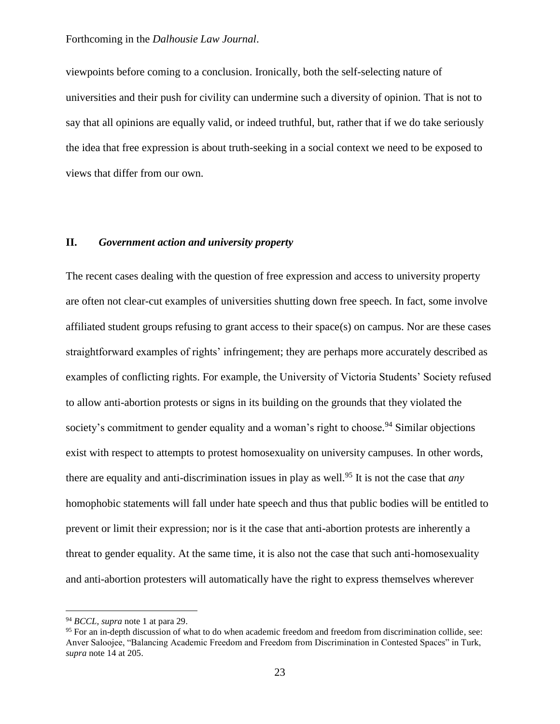viewpoints before coming to a conclusion. Ironically, both the self-selecting nature of universities and their push for civility can undermine such a diversity of opinion. That is not to say that all opinions are equally valid, or indeed truthful, but, rather that if we do take seriously the idea that free expression is about truth-seeking in a social context we need to be exposed to views that differ from our own.

#### **II.** *Government action and university property*

The recent cases dealing with the question of free expression and access to university property are often not clear-cut examples of universities shutting down free speech. In fact, some involve affiliated student groups refusing to grant access to their space(s) on campus. Nor are these cases straightforward examples of rights' infringement; they are perhaps more accurately described as examples of conflicting rights. For example, the University of Victoria Students' Society refused to allow anti-abortion protests or signs in its building on the grounds that they violated the society's commitment to gender equality and a woman's right to choose.<sup>94</sup> Similar objections exist with respect to attempts to protest homosexuality on university campuses. In other words, there are equality and anti-discrimination issues in play as well.<sup>95</sup> It is not the case that *any* homophobic statements will fall under hate speech and thus that public bodies will be entitled to prevent or limit their expression; nor is it the case that anti-abortion protests are inherently a threat to gender equality. At the same time, it is also not the case that such anti-homosexuality and anti-abortion protesters will automatically have the right to express themselves wherever

<sup>94</sup> *BCCL, supra* note 1 at para 29.

<sup>&</sup>lt;sup>95</sup> For an in-depth discussion of what to do when academic freedom and freedom from discrimination collide, see: Anver Saloojee, "Balancing Academic Freedom and Freedom from Discrimination in Contested Spaces" in Turk, *supra* note 14 at 205.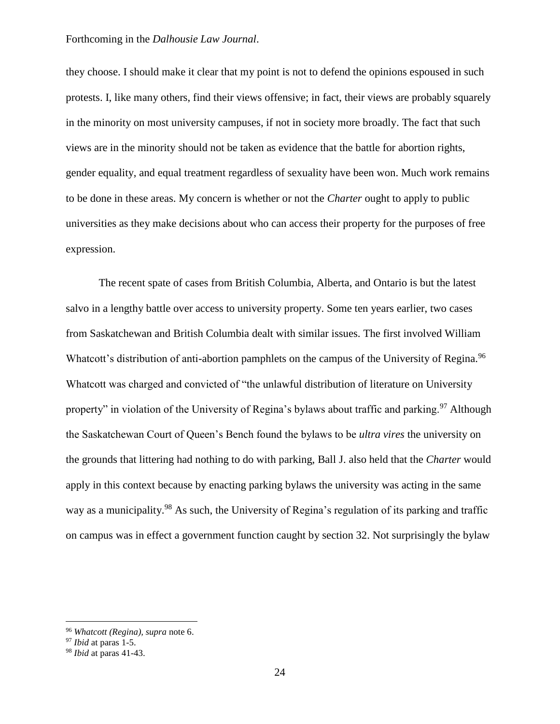they choose. I should make it clear that my point is not to defend the opinions espoused in such protests. I, like many others, find their views offensive; in fact, their views are probably squarely in the minority on most university campuses, if not in society more broadly. The fact that such views are in the minority should not be taken as evidence that the battle for abortion rights, gender equality, and equal treatment regardless of sexuality have been won. Much work remains to be done in these areas. My concern is whether or not the *Charter* ought to apply to public universities as they make decisions about who can access their property for the purposes of free expression.

The recent spate of cases from British Columbia, Alberta, and Ontario is but the latest salvo in a lengthy battle over access to university property. Some ten years earlier, two cases from Saskatchewan and British Columbia dealt with similar issues. The first involved William Whatcott's distribution of anti-abortion pamphlets on the campus of the University of Regina.<sup>96</sup> Whatcott was charged and convicted of "the unlawful distribution of literature on University property" in violation of the University of Regina's bylaws about traffic and parking.<sup>97</sup> Although the Saskatchewan Court of Queen's Bench found the bylaws to be *ultra vires* the university on the grounds that littering had nothing to do with parking, Ball J. also held that the *Charter* would apply in this context because by enacting parking bylaws the university was acting in the same way as a municipality.<sup>98</sup> As such, the University of Regina's regulation of its parking and traffic on campus was in effect a government function caught by section 32. Not surprisingly the bylaw

<sup>96</sup> *Whatcott (Regina), supra* note 6.

<sup>97</sup> *Ibid* at paras 1-5.

<sup>98</sup> *Ibid* at paras 41-43.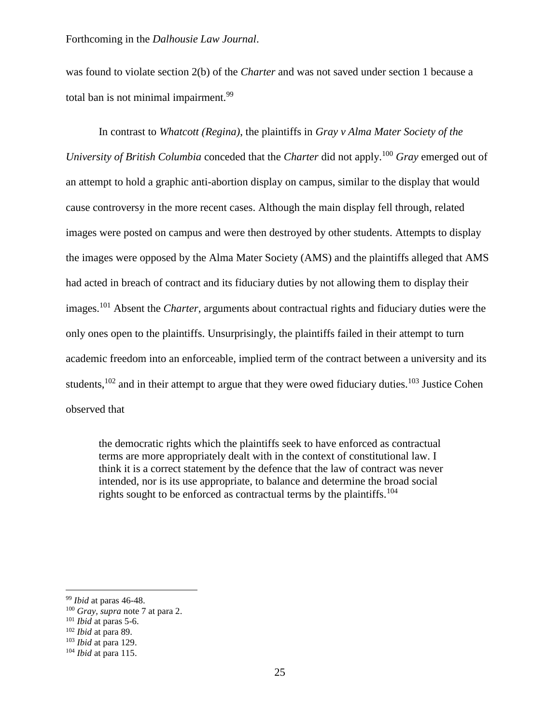was found to violate section 2(b) of the *Charter* and was not saved under section 1 because a total ban is not minimal impairment.<sup>99</sup>

In contrast to *Whatcott (Regina)*, the plaintiffs in *Gray v Alma Mater Society of the University of British Columbia* conceded that the *Charter* did not apply.<sup>100</sup> *Gray* emerged out of an attempt to hold a graphic anti-abortion display on campus, similar to the display that would cause controversy in the more recent cases. Although the main display fell through, related images were posted on campus and were then destroyed by other students. Attempts to display the images were opposed by the Alma Mater Society (AMS) and the plaintiffs alleged that AMS had acted in breach of contract and its fiduciary duties by not allowing them to display their images.<sup>101</sup> Absent the *Charter,* arguments about contractual rights and fiduciary duties were the only ones open to the plaintiffs. Unsurprisingly, the plaintiffs failed in their attempt to turn academic freedom into an enforceable, implied term of the contract between a university and its students, $102$  and in their attempt to argue that they were owed fiduciary duties.<sup>103</sup> Justice Cohen observed that

the democratic rights which the plaintiffs seek to have enforced as contractual terms are more appropriately dealt with in the context of constitutional law. I think it is a correct statement by the defence that the law of contract was never intended, nor is its use appropriate, to balance and determine the broad social rights sought to be enforced as contractual terms by the plaintiffs.<sup>104</sup>

<sup>99</sup> *Ibid* at paras 46-48.

<sup>100</sup> *Gray, supra* note 7 at para 2.

<sup>101</sup> *Ibid* at paras 5-6.

<sup>102</sup> *Ibid* at para 89.

<sup>103</sup> *Ibid* at para 129.

<sup>104</sup> *Ibid* at para 115.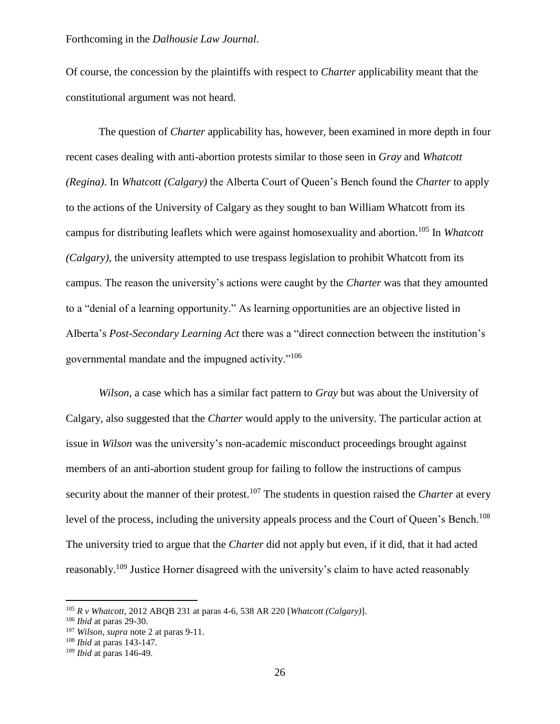Of course, the concession by the plaintiffs with respect to *Charter* applicability meant that the constitutional argument was not heard.

The question of *Charter* applicability has, however, been examined in more depth in four recent cases dealing with anti-abortion protests similar to those seen in *Gray* and *Whatcott (Regina)*. In *Whatcott (Calgary)* the Alberta Court of Queen's Bench found the *Charter* to apply to the actions of the University of Calgary as they sought to ban William Whatcott from its campus for distributing leaflets which were against homosexuality and abortion.<sup>105</sup> In *Whatcott (Calgary)*, the university attempted to use trespass legislation to prohibit Whatcott from its campus. The reason the university's actions were caught by the *Charter* was that they amounted to a "denial of a learning opportunity." As learning opportunities are an objective listed in Alberta's *Post-Secondary Learning Act* there was a "direct connection between the institution's governmental mandate and the impugned activity."<sup>106</sup>

*Wilson*, a case which has a similar fact pattern to *Gray* but was about the University of Calgary, also suggested that the *Charter* would apply to the university. The particular action at issue in *Wilson* was the university's non-academic misconduct proceedings brought against members of an anti-abortion student group for failing to follow the instructions of campus security about the manner of their protest.<sup>107</sup> The students in question raised the *Charter* at every level of the process, including the university appeals process and the Court of Queen's Bench.<sup>108</sup> The university tried to argue that the *Charter* did not apply but even, if it did, that it had acted reasonably.<sup>109</sup> Justice Horner disagreed with the university's claim to have acted reasonably

<sup>105</sup> *R v Whatcott,* 2012 ABQB 231 at paras 4-6, 538 AR 220 [*Whatcott (Calgary)*].

<sup>106</sup> *Ibid* at paras 29-30.

<sup>107</sup> *Wilson, supra* note 2 at paras 9-11.

<sup>108</sup> *Ibid* at paras 143-147.

<sup>109</sup> *Ibid* at paras 146-49.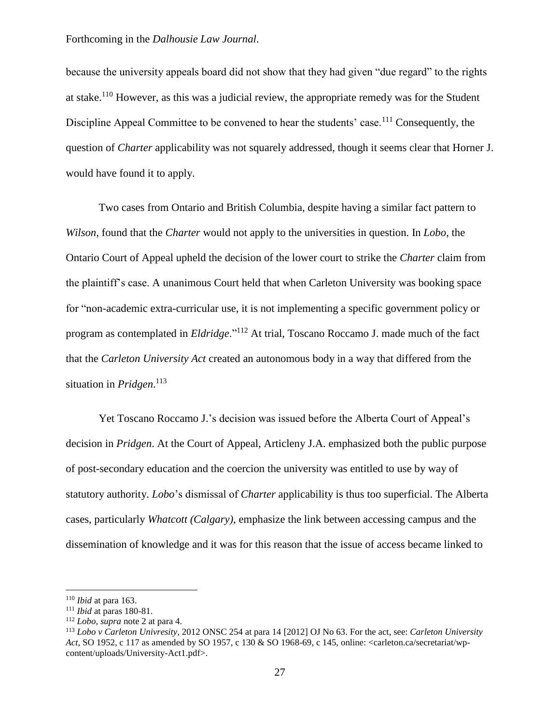because the university appeals board did not show that they had given "due regard" to the rights at stake.<sup>110</sup> However, as this was a judicial review, the appropriate remedy was for the Student Discipline Appeal Committee to be convened to hear the students' case.<sup>111</sup> Consequently, the question of *Charter* applicability was not squarely addressed, though it seems clear that Horner J. would have found it to apply.

Two cases from Ontario and British Columbia, despite having a similar fact pattern to *Wilson*, found that the *Charter* would not apply to the universities in question. In *Lobo*, the Ontario Court of Appeal upheld the decision of the lower court to strike the *Charter* claim from the plaintiff's case. A unanimous Court held that when Carleton University was booking space for "non-academic extra-curricular use, it is not implementing a specific government policy or program as contemplated in *Eldridge*."<sup>112</sup> At trial, Toscano Roccamo J. made much of the fact that the *Carleton University Act* created an autonomous body in a way that differed from the situation in *Pridgen*. 113

Yet Toscano Roccamo J.'s decision was issued before the Alberta Court of Appeal's decision in *Pridgen*. At the Court of Appeal, Articleny J.A. emphasized both the public purpose of post-secondary education and the coercion the university was entitled to use by way of statutory authority. *Lobo*'s dismissal of *Charter* applicability is thus too superficial. The Alberta cases, particularly *Whatcott (Calgary),* emphasize the link between accessing campus and the dissemination of knowledge and it was for this reason that the issue of access became linked to

<sup>110</sup> *Ibid* at para 163.

<sup>111</sup> *Ibid* at paras 180-81.

<sup>112</sup> *Lobo, supra* note 2 at para 4.

<sup>113</sup> *Lobo v Carleton Univresity*, 2012 ONSC 254 at para 14 [2012] OJ No 63. For the act, see: *Carleton University Act*, SO 1952, c 117 as amended by SO 1957, c 130 & SO 1968-69, c 145, online: <carleton.ca/secretariat/wpcontent/uploads/University-Act1.pdf>.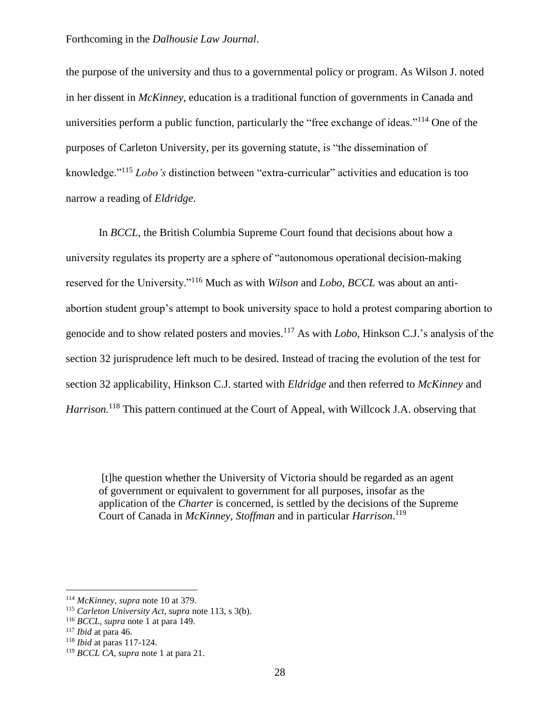the purpose of the university and thus to a governmental policy or program. As Wilson J. noted in her dissent in *McKinney*, education is a traditional function of governments in Canada and universities perform a public function, particularly the "free exchange of ideas."<sup>114</sup> One of the purposes of Carleton University, per its governing statute, is "the dissemination of knowledge."<sup>115</sup> *Lobo's* distinction between "extra-curricular" activities and education is too narrow a reading of *Eldridge*.

In *BCCL,* the British Columbia Supreme Court found that decisions about how a university regulates its property are a sphere of "autonomous operational decision-making reserved for the University."<sup>116</sup> Much as with *Wilson* and *Lobo*, *BCCL* was about an antiabortion student group's attempt to book university space to hold a protest comparing abortion to genocide and to show related posters and movies. <sup>117</sup> As with *Lobo*, Hinkson C.J.'s analysis of the section 32 jurisprudence left much to be desired. Instead of tracing the evolution of the test for section 32 applicability, Hinkson C.J. started with *Eldridge* and then referred to *McKinney* and *Harrison*<sup>118</sup> This pattern continued at the Court of Appeal, with Willcock J.A. observing that

[t]he question whether the University of Victoria should be regarded as an agent of government or equivalent to government for all purposes, insofar as the application of the *Charter* is concerned, is settled by the decisions of the Supreme Court of Canada in *McKinney, Stoffman* and in particular *Harrison*. 119

<sup>114</sup> *McKinney, supra* note 10 at 379.

<sup>115</sup> *Carleton University Act, supra* note 113, s 3(b).

<sup>116</sup> *BCCL, supra* note 1 at para 149.

<sup>117</sup> *Ibid* at para 46.

<sup>118</sup> *Ibid* at paras 117-124.

<sup>119</sup> *BCCL CA, supra* note 1 at para 21.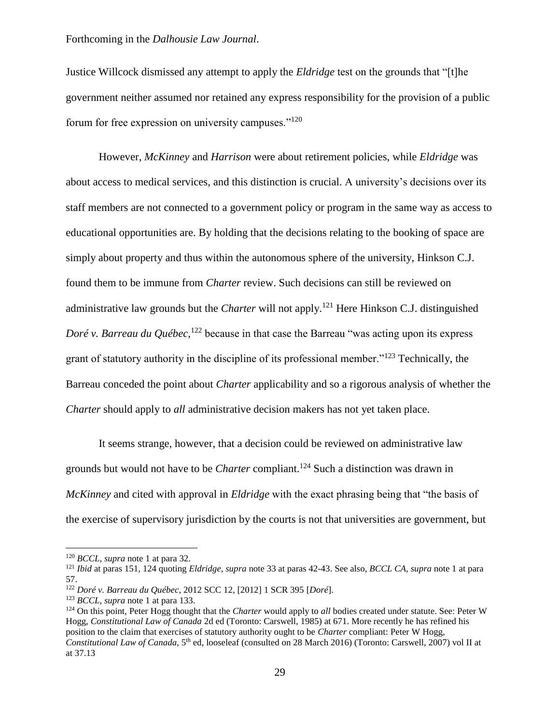Justice Willcock dismissed any attempt to apply the *Eldridge* test on the grounds that "[t]he government neither assumed nor retained any express responsibility for the provision of a public forum for free expression on university campuses."<sup>120</sup>

However, *McKinney* and *Harrison* were about retirement policies, while *Eldridge* was about access to medical services, and this distinction is crucial. A university's decisions over its staff members are not connected to a government policy or program in the same way as access to educational opportunities are. By holding that the decisions relating to the booking of space are simply about property and thus within the autonomous sphere of the university, Hinkson C.J. found them to be immune from *Charter* review. Such decisions can still be reviewed on administrative law grounds but the *Charter* will not apply.<sup>121</sup> Here Hinkson C.J. distinguished *Doré v. Barreau du Québec*,<sup>122</sup> because in that case the Barreau "was acting upon its express grant of statutory authority in the discipline of its professional member."<sup>123</sup> Technically, the Barreau conceded the point about *Charter* applicability and so a rigorous analysis of whether the *Charter* should apply to *all* administrative decision makers has not yet taken place.

It seems strange, however, that a decision could be reviewed on administrative law grounds but would not have to be *Charter* compliant.<sup>124</sup> Such a distinction was drawn in *McKinney* and cited with approval in *Eldridge* with the exact phrasing being that "the basis of the exercise of supervisory jurisdiction by the courts is not that universities are government, but

<sup>120</sup> *BCCL, supra* note 1 at para 32.

<sup>121</sup> *Ibid* at paras 151, 124 quoting *Eldridge, supra* note 33 at paras 42-43. See also, *BCCL CA, supra* note 1 at para 57.

<sup>122</sup> *Doré v. Barreau du Québec*, 2012 SCC 12, [2012] 1 SCR 395 [*Doré*].

<sup>123</sup> *BCCL, supra* note 1 at para 133.

<sup>124</sup> On this point, Peter Hogg thought that the *Charter* would apply to *all* bodies created under statute. See: Peter W Hogg, *Constitutional Law of Canada* 2d ed (Toronto: Carswell, 1985) at 671. More recently he has refined his position to the claim that exercises of statutory authority ought to be *Charter* compliant: Peter W Hogg, Constitutional Law of Canada, 5<sup>th</sup> ed, looseleaf (consulted on 28 March 2016) (Toronto: Carswell, 2007) vol II at at 37.13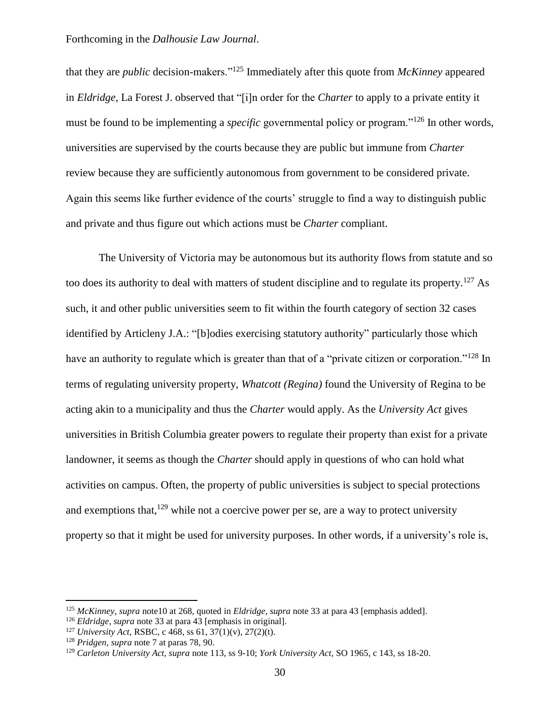that they are *public* decision-makers."<sup>125</sup> Immediately after this quote from *McKinney* appeared in *Eldridge,* La Forest J. observed that "[i]n order for the *Charter* to apply to a private entity it must be found to be implementing a *specific* governmental policy or program."<sup>126</sup> In other words, universities are supervised by the courts because they are public but immune from *Charter* review because they are sufficiently autonomous from government to be considered private. Again this seems like further evidence of the courts' struggle to find a way to distinguish public and private and thus figure out which actions must be *Charter* compliant.

The University of Victoria may be autonomous but its authority flows from statute and so too does its authority to deal with matters of student discipline and to regulate its property.<sup>127</sup> As such, it and other public universities seem to fit within the fourth category of section 32 cases identified by Articleny J.A.: "[b]odies exercising statutory authority" particularly those which have an authority to regulate which is greater than that of a "private citizen or corporation."<sup>128</sup> In terms of regulating university property, *Whatcott (Regina)* found the University of Regina to be acting akin to a municipality and thus the *Charter* would apply. As the *University Act* gives universities in British Columbia greater powers to regulate their property than exist for a private landowner, it seems as though the *Charter* should apply in questions of who can hold what activities on campus. Often, the property of public universities is subject to special protections and exemptions that,  $129$  while not a coercive power per se, are a way to protect university property so that it might be used for university purposes. In other words, if a university's role is,

<sup>125</sup> *McKinney, supra* note10 at 268, quoted in *Eldridge, supra* note 33 at para 43 [emphasis added].

<sup>126</sup> *Eldridge, supra* note 33 at para 43 [emphasis in original].

<sup>127</sup> *University Act,* RSBC, c 468, ss 61, 37(1)(v), 27(2)(t).

<sup>128</sup> *Pridgen, supra* note 7 at paras 78, 90.

<sup>129</sup> *Carleton University Act, supra* note 113, ss 9-10; *York University Act,* SO 1965, c 143, ss 18-20.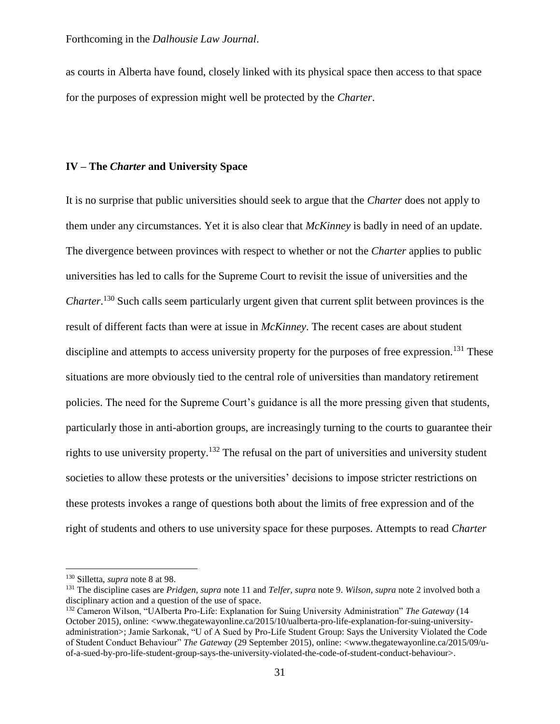as courts in Alberta have found, closely linked with its physical space then access to that space for the purposes of expression might well be protected by the *Charter*.

#### **IV – The** *Charter* **and University Space**

It is no surprise that public universities should seek to argue that the *Charter* does not apply to them under any circumstances. Yet it is also clear that *McKinney* is badly in need of an update. The divergence between provinces with respect to whether or not the *Charter* applies to public universities has led to calls for the Supreme Court to revisit the issue of universities and the *Charter*. <sup>130</sup> Such calls seem particularly urgent given that current split between provinces is the result of different facts than were at issue in *McKinney*. The recent cases are about student discipline and attempts to access university property for the purposes of free expression.<sup>131</sup> These situations are more obviously tied to the central role of universities than mandatory retirement policies. The need for the Supreme Court's guidance is all the more pressing given that students, particularly those in anti-abortion groups, are increasingly turning to the courts to guarantee their rights to use university property.<sup>132</sup> The refusal on the part of universities and university student societies to allow these protests or the universities' decisions to impose stricter restrictions on these protests invokes a range of questions both about the limits of free expression and of the right of students and others to use university space for these purposes. Attempts to read *Charter*

<sup>130</sup> Silletta, *supra* note 8 at 98.

<sup>131</sup> The discipline cases are *Pridgen, supra* note 11 and *Telfer, supra* note 9. *Wilson, supra* note 2 involved both a disciplinary action and a question of the use of space.

<sup>132</sup> Cameron Wilson, "UAlberta Pro-Life: Explanation for Suing University Administration" *The Gateway* (14 October 2015), online: <www.thegatewayonline.ca/2015/10/ualberta-pro-life-explanation-for-suing-universityadministration>; Jamie Sarkonak, "U of A Sued by Pro-Life Student Group: Says the University Violated the Code of Student Conduct Behaviour" *The Gateway* (29 September 2015), online: <www.thegatewayonline.ca/2015/09/uof-a-sued-by-pro-life-student-group-says-the-university-violated-the-code-of-student-conduct-behaviour>.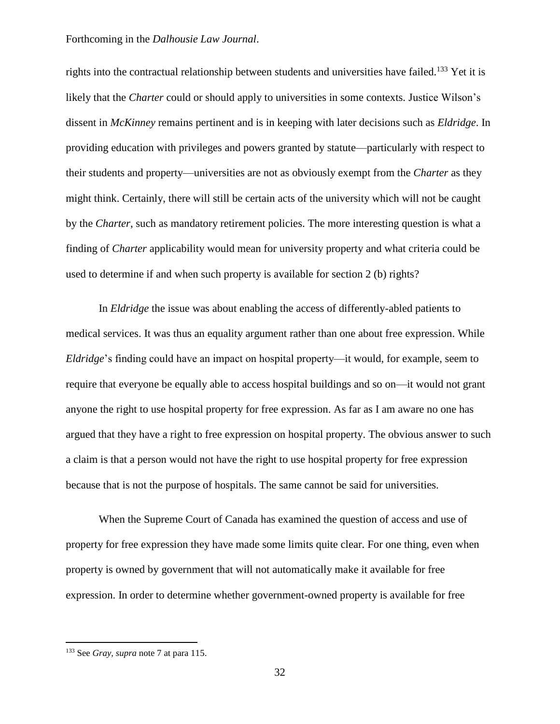rights into the contractual relationship between students and universities have failed.<sup>133</sup> Yet it is likely that the *Charter* could or should apply to universities in some contexts. Justice Wilson's dissent in *McKinney* remains pertinent and is in keeping with later decisions such as *Eldridge*. In providing education with privileges and powers granted by statute—particularly with respect to their students and property—universities are not as obviously exempt from the *Charter* as they might think. Certainly, there will still be certain acts of the university which will not be caught by the *Charter*, such as mandatory retirement policies. The more interesting question is what a finding of *Charter* applicability would mean for university property and what criteria could be used to determine if and when such property is available for section 2 (b) rights?

In *Eldridge* the issue was about enabling the access of differently-abled patients to medical services. It was thus an equality argument rather than one about free expression. While *Eldridge*'s finding could have an impact on hospital property—it would, for example, seem to require that everyone be equally able to access hospital buildings and so on—it would not grant anyone the right to use hospital property for free expression. As far as I am aware no one has argued that they have a right to free expression on hospital property. The obvious answer to such a claim is that a person would not have the right to use hospital property for free expression because that is not the purpose of hospitals. The same cannot be said for universities.

When the Supreme Court of Canada has examined the question of access and use of property for free expression they have made some limits quite clear. For one thing, even when property is owned by government that will not automatically make it available for free expression. In order to determine whether government-owned property is available for free

<sup>133</sup> See *Gray, supra* note 7 at para 115.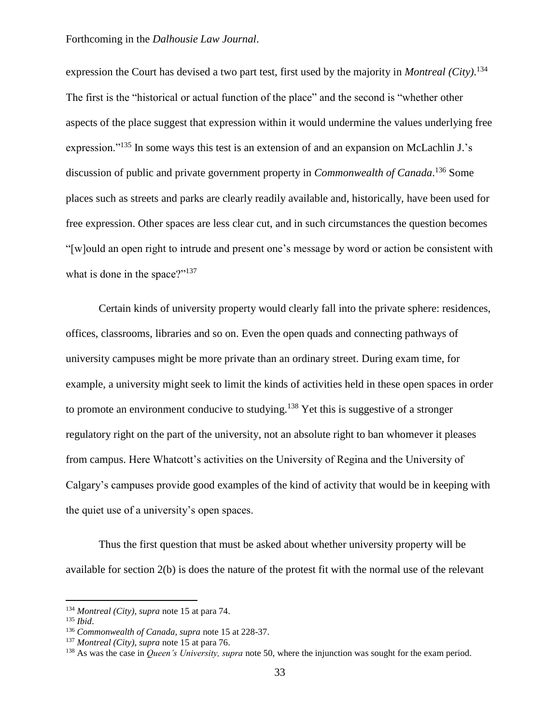expression the Court has devised a two part test, first used by the majority in *Montreal (City)*. 134 The first is the "historical or actual function of the place" and the second is "whether other aspects of the place suggest that expression within it would undermine the values underlying free expression."<sup>135</sup> In some ways this test is an extension of and an expansion on McLachlin J.'s discussion of public and private government property in *Commonwealth of Canada*. <sup>136</sup> Some places such as streets and parks are clearly readily available and, historically, have been used for free expression. Other spaces are less clear cut, and in such circumstances the question becomes "[w]ould an open right to intrude and present one's message by word or action be consistent with what is done in the space?"<sup>137</sup>

Certain kinds of university property would clearly fall into the private sphere: residences, offices, classrooms, libraries and so on. Even the open quads and connecting pathways of university campuses might be more private than an ordinary street. During exam time, for example, a university might seek to limit the kinds of activities held in these open spaces in order to promote an environment conducive to studying.<sup>138</sup> Yet this is suggestive of a stronger regulatory right on the part of the university, not an absolute right to ban whomever it pleases from campus. Here Whatcott's activities on the University of Regina and the University of Calgary's campuses provide good examples of the kind of activity that would be in keeping with the quiet use of a university's open spaces.

Thus the first question that must be asked about whether university property will be available for section 2(b) is does the nature of the protest fit with the normal use of the relevant

<sup>134</sup> *Montreal (City), supra* note 15 at para 74.

<sup>135</sup> *Ibid*.

<sup>136</sup> *Commonwealth of Canada, supra* note 15 at 228-37.

<sup>137</sup> *Montreal (City), supra* note 15 at para 76.

<sup>&</sup>lt;sup>138</sup> As was the case in *Queen's University, supra* note 50, where the injunction was sought for the exam period.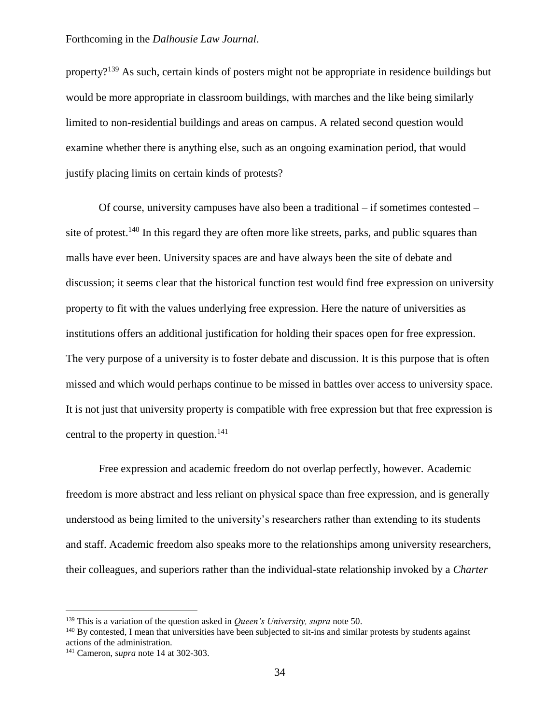property?<sup>139</sup> As such, certain kinds of posters might not be appropriate in residence buildings but would be more appropriate in classroom buildings, with marches and the like being similarly limited to non-residential buildings and areas on campus. A related second question would examine whether there is anything else, such as an ongoing examination period, that would justify placing limits on certain kinds of protests?

Of course, university campuses have also been a traditional – if sometimes contested – site of protest.<sup>140</sup> In this regard they are often more like streets, parks, and public squares than malls have ever been. University spaces are and have always been the site of debate and discussion; it seems clear that the historical function test would find free expression on university property to fit with the values underlying free expression. Here the nature of universities as institutions offers an additional justification for holding their spaces open for free expression. The very purpose of a university is to foster debate and discussion. It is this purpose that is often missed and which would perhaps continue to be missed in battles over access to university space. It is not just that university property is compatible with free expression but that free expression is central to the property in question.<sup>141</sup>

Free expression and academic freedom do not overlap perfectly, however. Academic freedom is more abstract and less reliant on physical space than free expression, and is generally understood as being limited to the university's researchers rather than extending to its students and staff. Academic freedom also speaks more to the relationships among university researchers, their colleagues, and superiors rather than the individual-state relationship invoked by a *Charter*

<sup>139</sup> This is a variation of the question asked in *Queen's University, supra* note 50.

<sup>&</sup>lt;sup>140</sup> By contested, I mean that universities have been subjected to sit-ins and similar protests by students against actions of the administration.

<sup>141</sup> Cameron, *supra* note 14 at 302-303.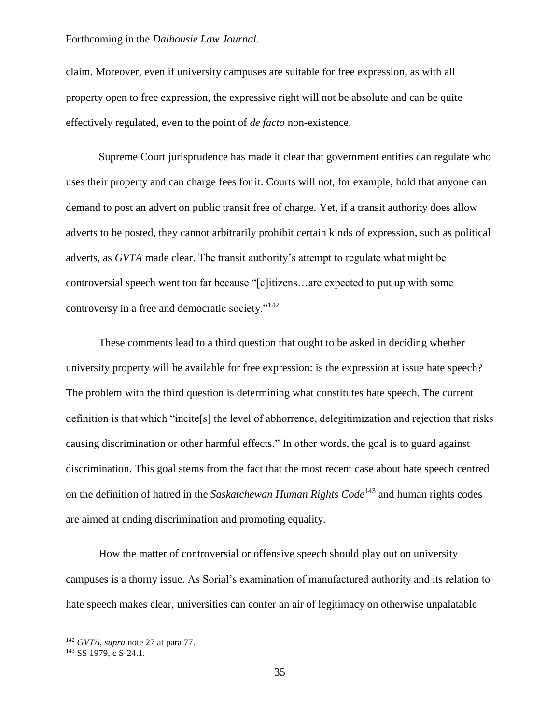claim. Moreover, even if university campuses are suitable for free expression, as with all property open to free expression, the expressive right will not be absolute and can be quite effectively regulated, even to the point of *de facto* non-existence.

Supreme Court jurisprudence has made it clear that government entities can regulate who uses their property and can charge fees for it. Courts will not, for example, hold that anyone can demand to post an advert on public transit free of charge. Yet, if a transit authority does allow adverts to be posted, they cannot arbitrarily prohibit certain kinds of expression, such as political adverts, as *GVTA* made clear. The transit authority's attempt to regulate what might be controversial speech went too far because "[c]itizens…are expected to put up with some controversy in a free and democratic society."<sup>142</sup>

These comments lead to a third question that ought to be asked in deciding whether university property will be available for free expression: is the expression at issue hate speech? The problem with the third question is determining what constitutes hate speech. The current definition is that which "incite[s] the level of abhorrence, delegitimization and rejection that risks causing discrimination or other harmful effects." In other words, the goal is to guard against discrimination. This goal stems from the fact that the most recent case about hate speech centred on the definition of hatred in the *Saskatchewan Human Rights Code*<sup>143</sup> and human rights codes are aimed at ending discrimination and promoting equality.

How the matter of controversial or offensive speech should play out on university campuses is a thorny issue. As Sorial's examination of manufactured authority and its relation to hate speech makes clear, universities can confer an air of legitimacy on otherwise unpalatable

<sup>142</sup> *GVTA, supra* note 27 at para 77.

<sup>143</sup> SS 1979, c S-24.1.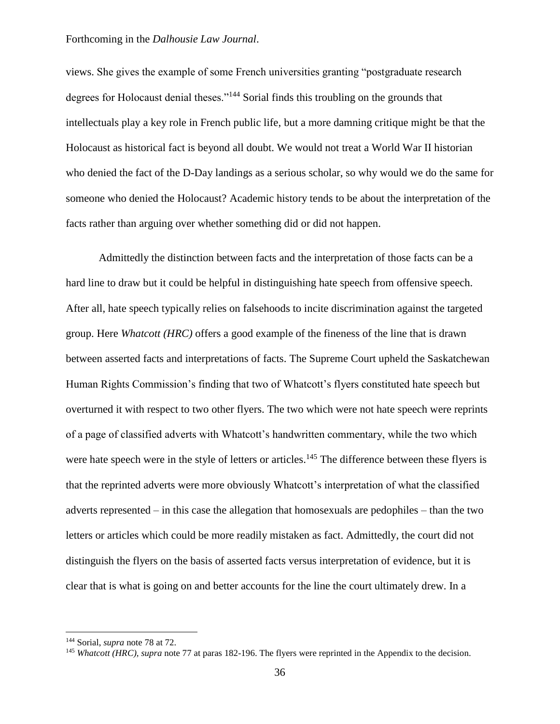views. She gives the example of some French universities granting "postgraduate research degrees for Holocaust denial theses."<sup>144</sup> Sorial finds this troubling on the grounds that intellectuals play a key role in French public life, but a more damning critique might be that the Holocaust as historical fact is beyond all doubt. We would not treat a World War II historian who denied the fact of the D-Day landings as a serious scholar, so why would we do the same for someone who denied the Holocaust? Academic history tends to be about the interpretation of the facts rather than arguing over whether something did or did not happen.

Admittedly the distinction between facts and the interpretation of those facts can be a hard line to draw but it could be helpful in distinguishing hate speech from offensive speech. After all, hate speech typically relies on falsehoods to incite discrimination against the targeted group. Here *Whatcott (HRC)* offers a good example of the fineness of the line that is drawn between asserted facts and interpretations of facts. The Supreme Court upheld the Saskatchewan Human Rights Commission's finding that two of Whatcott's flyers constituted hate speech but overturned it with respect to two other flyers. The two which were not hate speech were reprints of a page of classified adverts with Whatcott's handwritten commentary, while the two which were hate speech were in the style of letters or articles.<sup>145</sup> The difference between these flyers is that the reprinted adverts were more obviously Whatcott's interpretation of what the classified adverts represented – in this case the allegation that homosexuals are pedophiles – than the two letters or articles which could be more readily mistaken as fact. Admittedly, the court did not distinguish the flyers on the basis of asserted facts versus interpretation of evidence, but it is clear that is what is going on and better accounts for the line the court ultimately drew. In a

<sup>144</sup> Sorial, *supra* note 78 at 72.

<sup>&</sup>lt;sup>145</sup> *Whatcott (HRC), supra* note 77 at paras 182-196. The flyers were reprinted in the Appendix to the decision.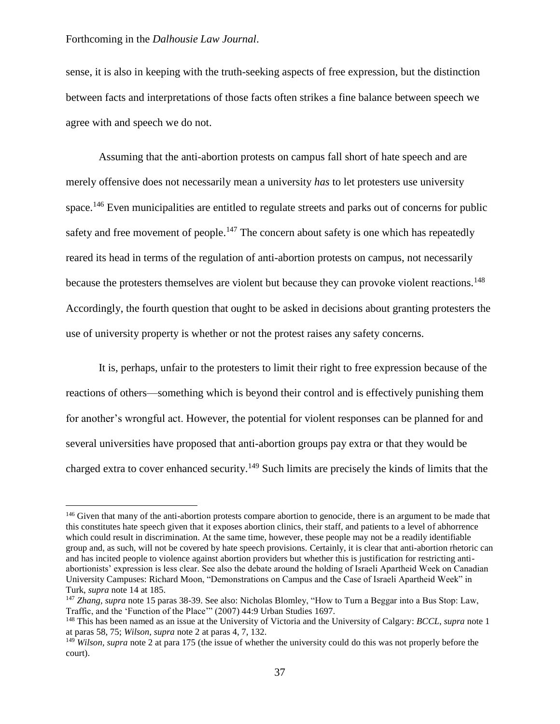$\overline{a}$ 

sense, it is also in keeping with the truth-seeking aspects of free expression, but the distinction between facts and interpretations of those facts often strikes a fine balance between speech we agree with and speech we do not.

Assuming that the anti-abortion protests on campus fall short of hate speech and are merely offensive does not necessarily mean a university *has* to let protesters use university space.<sup>146</sup> Even municipalities are entitled to regulate streets and parks out of concerns for public safety and free movement of people.<sup>147</sup> The concern about safety is one which has repeatedly reared its head in terms of the regulation of anti-abortion protests on campus, not necessarily because the protesters themselves are violent but because they can provoke violent reactions.<sup>148</sup> Accordingly, the fourth question that ought to be asked in decisions about granting protesters the use of university property is whether or not the protest raises any safety concerns.

It is, perhaps, unfair to the protesters to limit their right to free expression because of the reactions of others—something which is beyond their control and is effectively punishing them for another's wrongful act. However, the potential for violent responses can be planned for and several universities have proposed that anti-abortion groups pay extra or that they would be charged extra to cover enhanced security.<sup>149</sup> Such limits are precisely the kinds of limits that the

<sup>&</sup>lt;sup>146</sup> Given that many of the anti-abortion protests compare abortion to genocide, there is an argument to be made that this constitutes hate speech given that it exposes abortion clinics, their staff, and patients to a level of abhorrence which could result in discrimination. At the same time, however, these people may not be a readily identifiable group and, as such, will not be covered by hate speech provisions. Certainly, it is clear that anti-abortion rhetoric can and has incited people to violence against abortion providers but whether this is justification for restricting antiabortionists' expression is less clear. See also the debate around the holding of Israeli Apartheid Week on Canadian University Campuses: Richard Moon, "Demonstrations on Campus and the Case of Israeli Apartheid Week" in Turk, *supra* note 14 at 185.

<sup>147</sup> *Zhang, supra* note 15 paras 38-39. See also: Nicholas Blomley, "How to Turn a Beggar into a Bus Stop: Law, Traffic, and the 'Function of the Place'" (2007) 44:9 Urban Studies 1697.

<sup>148</sup> This has been named as an issue at the University of Victoria and the University of Calgary: *BCCL, supra* note 1 at paras 58, 75; *Wilson, supra* note 2 at paras 4, 7, 132.

<sup>149</sup> *Wilson, supra* note 2 at para 175 (the issue of whether the university could do this was not properly before the court).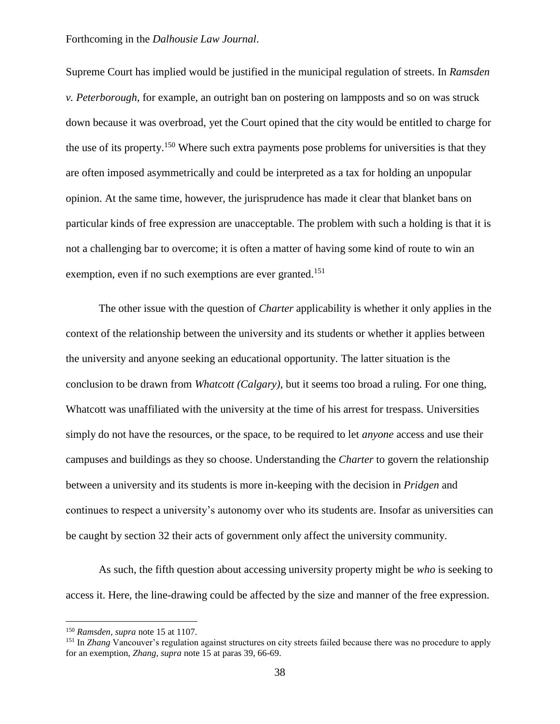Supreme Court has implied would be justified in the municipal regulation of streets. In *Ramsden v. Peterborough*, for example, an outright ban on postering on lampposts and so on was struck down because it was overbroad, yet the Court opined that the city would be entitled to charge for the use of its property.<sup>150</sup> Where such extra payments pose problems for universities is that they are often imposed asymmetrically and could be interpreted as a tax for holding an unpopular opinion. At the same time, however, the jurisprudence has made it clear that blanket bans on particular kinds of free expression are unacceptable. The problem with such a holding is that it is not a challenging bar to overcome; it is often a matter of having some kind of route to win an exemption, even if no such exemptions are ever granted.<sup>151</sup>

The other issue with the question of *Charter* applicability is whether it only applies in the context of the relationship between the university and its students or whether it applies between the university and anyone seeking an educational opportunity. The latter situation is the conclusion to be drawn from *Whatcott (Calgary)*, but it seems too broad a ruling. For one thing, Whatcott was unaffiliated with the university at the time of his arrest for trespass. Universities simply do not have the resources, or the space, to be required to let *anyone* access and use their campuses and buildings as they so choose. Understanding the *Charter* to govern the relationship between a university and its students is more in-keeping with the decision in *Pridgen* and continues to respect a university's autonomy over who its students are. Insofar as universities can be caught by section 32 their acts of government only affect the university community.

As such, the fifth question about accessing university property might be *who* is seeking to access it. Here, the line-drawing could be affected by the size and manner of the free expression.

<sup>150</sup> *Ramsden, supra* note 15 at 1107.

<sup>151</sup> In *Zhang* Vancouver's regulation against structures on city streets failed because there was no procedure to apply for an exemption, *Zhang, supra* note 15 at paras 39, 66-69.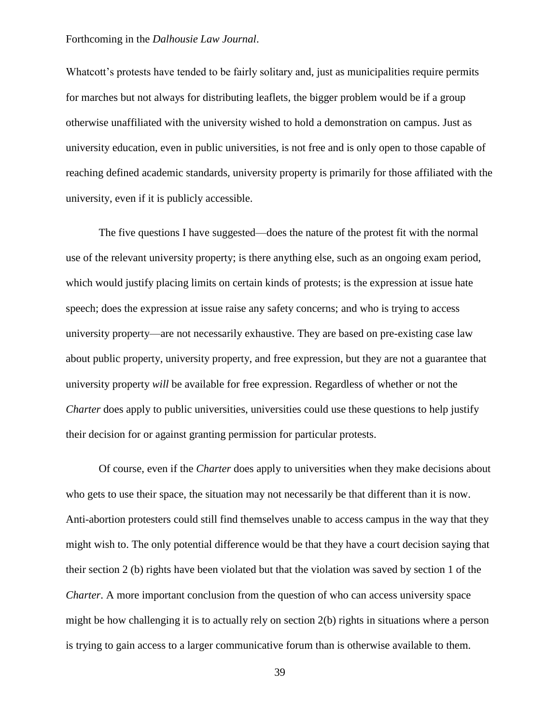Whatcott's protests have tended to be fairly solitary and, just as municipalities require permits for marches but not always for distributing leaflets, the bigger problem would be if a group otherwise unaffiliated with the university wished to hold a demonstration on campus. Just as university education, even in public universities, is not free and is only open to those capable of reaching defined academic standards, university property is primarily for those affiliated with the university, even if it is publicly accessible.

The five questions I have suggested—does the nature of the protest fit with the normal use of the relevant university property; is there anything else, such as an ongoing exam period, which would justify placing limits on certain kinds of protests; is the expression at issue hate speech; does the expression at issue raise any safety concerns; and who is trying to access university property—are not necessarily exhaustive. They are based on pre-existing case law about public property, university property, and free expression, but they are not a guarantee that university property *will* be available for free expression. Regardless of whether or not the *Charter* does apply to public universities, universities could use these questions to help justify their decision for or against granting permission for particular protests.

Of course, even if the *Charter* does apply to universities when they make decisions about who gets to use their space, the situation may not necessarily be that different than it is now. Anti-abortion protesters could still find themselves unable to access campus in the way that they might wish to. The only potential difference would be that they have a court decision saying that their section 2 (b) rights have been violated but that the violation was saved by section 1 of the *Charter*. A more important conclusion from the question of who can access university space might be how challenging it is to actually rely on section 2(b) rights in situations where a person is trying to gain access to a larger communicative forum than is otherwise available to them.

39